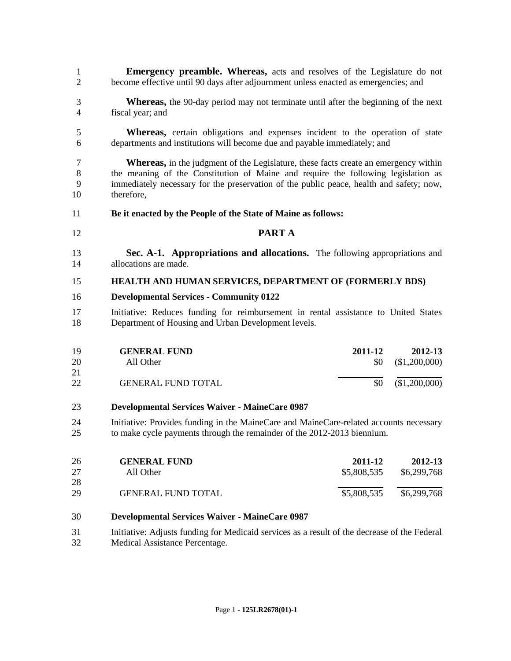- **Emergency preamble. Whereas,** acts and resolves of the Legislature do not become effective until 90 days after adjournment unless enacted as emergencies; and
- **Whereas,** the 90-day period may not terminate until after the beginning of the next fiscal year; and
- **Whereas,** certain obligations and expenses incident to the operation of state departments and institutions will become due and payable immediately; and

 **Whereas,** in the judgment of the Legislature, these facts create an emergency within the meaning of the Constitution of Maine and require the following legislation as immediately necessary for the preservation of the public peace, health and safety; now, therefore,

- **Be it enacted by the People of the State of Maine as follows:**
- **PART A**
- **Sec. A-1. Appropriations and allocations.** The following appropriations and allocations are made.

#### **HEALTH AND HUMAN SERVICES, DEPARTMENT OF (FORMERLY BDS)**

#### **Developmental Services - Community 0122**

 Initiative: Reduces funding for reimbursement in rental assistance to United States Department of Housing and Urban Development levels.

| 19 | <b>GENERAL FUND</b>       | 2011-12   | 2012-13       |
|----|---------------------------|-----------|---------------|
| 20 | All Other                 | <b>SO</b> | (\$1,200,000) |
| 21 |                           |           |               |
| 22 | <b>GENERAL FUND TOTAL</b> | \$0       | (\$1,200,000) |

#### **Developmental Services Waiver - MaineCare 0987**

 Initiative: Provides funding in the MaineCare and MaineCare-related accounts necessary to make cycle payments through the remainder of the 2012-2013 biennium.

| 26<br>27 | <b>GENERAL FUND</b><br>All Other | 2011-12<br>\$5,808,535 | 2012-13<br>\$6,299,768 |
|----------|----------------------------------|------------------------|------------------------|
| 28       |                                  |                        |                        |
| 29       | <b>GENERAL FUND TOTAL</b>        | \$5,808,535            | \$6,299,768            |

### **Developmental Services Waiver - MaineCare 0987**

 Initiative: Adjusts funding for Medicaid services as a result of the decrease of the Federal Medical Assistance Percentage.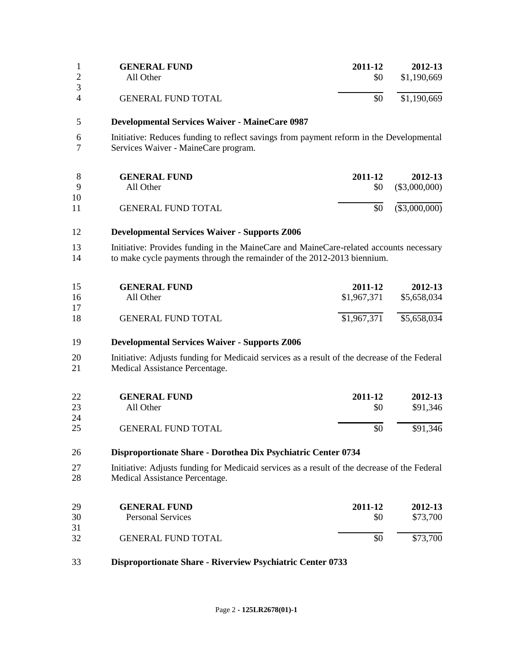|   | <b>GENERAL FUND</b>       | 2011-12 | 2012-13     |
|---|---------------------------|---------|-------------|
| 2 | All Other                 | \$0     | \$1,190,669 |
| 3 |                           |         |             |
| 4 | <b>GENERAL FUND TOTAL</b> | \$0     | \$1,190,669 |
|   |                           |         |             |

- **Developmental Services Waiver - MaineCare 0987**
- Initiative: Reduces funding to reflect savings from payment reform in the Developmental Services Waiver - MaineCare program.

|              | <b>GENERAL FUND</b>       | 2011-12 | 2012-13       |
|--------------|---------------------------|---------|---------------|
| $\mathbf{Q}$ | All Other                 | \$0     | (\$3,000,000) |
| 10           |                           |         |               |
| 11           | <b>GENERAL FUND TOTAL</b> | SO.     | (\$3,000,000) |

#### **Developmental Services Waiver - Supports Z006**

13 Initiative: Provides funding in the MaineCare and MaineCare-related accounts necessary to make cycle payments through the remainder of the 2012-2013 biennium.

| 15 | <b>GENERAL FUND</b>       | 2011-12     | 2012-13     |
|----|---------------------------|-------------|-------------|
| 16 | All Other                 | \$1,967,371 | \$5,658,034 |
| 17 |                           |             |             |
| 18 | <b>GENERAL FUND TOTAL</b> | \$1,967,371 | \$5,658,034 |

### **Developmental Services Waiver - Supports Z006**

 Initiative: Adjusts funding for Medicaid services as a result of the decrease of the Federal Medical Assistance Percentage.

| 22 | <b>GENERAL FUND</b>       | 2011-12 | 2012-13  |
|----|---------------------------|---------|----------|
| 23 | All Other                 | \$0     | \$91,346 |
| 24 |                           |         |          |
| 25 | <b>GENERAL FUND TOTAL</b> | \$0     | \$91,346 |

### **Disproportionate Share - Dorothea Dix Psychiatric Center 0734**

 Initiative: Adjusts funding for Medicaid services as a result of the decrease of the Federal Medical Assistance Percentage.

| 29<br>30 | <b>GENERAL FUND</b><br>Personal Services | 2011-12<br>\$0 | 2012-13<br>\$73,700 |
|----------|------------------------------------------|----------------|---------------------|
| 31       |                                          |                |                     |
| 32       | <b>GENERAL FUND TOTAL</b>                | \$0            | \$73,700            |

**Disproportionate Share - Riverview Psychiatric Center 0733**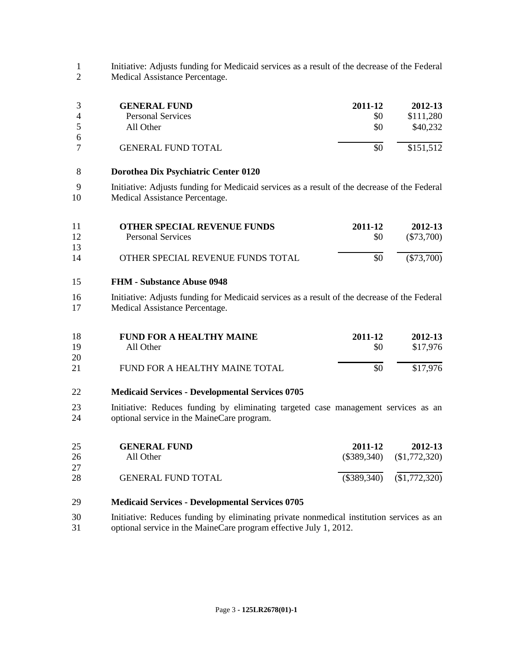Initiative: Adjusts funding for Medicaid services as a result of the decrease of the Federal Medical Assistance Percentage.

|   | <b>GENERAL FUND</b><br><b>Personal Services</b> | 2011-12<br>\$0 | 2012-13<br>\$111,280 |
|---|-------------------------------------------------|----------------|----------------------|
|   | All Other                                       | \$0            | \$40,232             |
| 6 | <b>GENERAL FUND TOTAL</b>                       |                | \$151,512            |

## **Dorothea Dix Psychiatric Center 0120**

 Initiative: Adjusts funding for Medicaid services as a result of the decrease of the Federal Medical Assistance Percentage.

| 11 | <b>OTHER SPECIAL REVENUE FUNDS</b> | 2011-12   | 2012-13      |
|----|------------------------------------|-----------|--------------|
| 12 | Personal Services                  | <b>SO</b> | $(\$73,700)$ |
| 13 |                                    |           |              |
| 14 | OTHER SPECIAL REVENUE FUNDS TOTAL  | \$0       | $(\$73,700)$ |

### **FHM - Substance Abuse 0948**

 Initiative: Adjusts funding for Medicaid services as a result of the decrease of the Federal Medical Assistance Percentage.

| -18 | <b>FUND FOR A HEALTHY MAINE</b> | 2011-12 | 2012-13  |
|-----|---------------------------------|---------|----------|
| 19  | All Other                       | \$0     | \$17,976 |
| 20  |                                 |         |          |
| 21  | FUND FOR A HEALTHY MAINE TOTAL  | \$0     | \$17,976 |

## **Medicaid Services - Developmental Services 0705**

 Initiative: Reduces funding by eliminating targeted case management services as an optional service in the MaineCare program.

| 25 | <b>GENERAL FUND</b>       | 2011-12 | 2012-13                       |
|----|---------------------------|---------|-------------------------------|
| 26 | All Other                 |         | $(\$389,340)$ $(\$1,772,320)$ |
| 27 |                           |         |                               |
| 28 | <b>GENERAL FUND TOTAL</b> |         | $(\$389,340)$ $(\$1,772,320)$ |

# **Medicaid Services - Developmental Services 0705**

 Initiative: Reduces funding by eliminating private nonmedical institution services as an optional service in the MaineCare program effective July 1, 2012.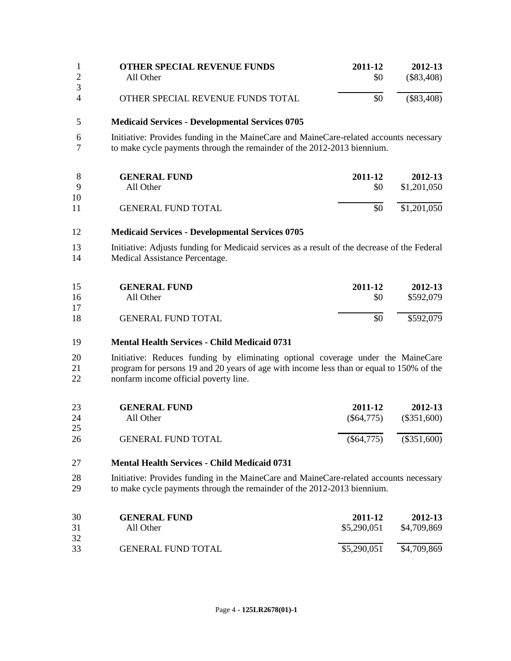| 1<br>$\overline{2}$ | <b>OTHER SPECIAL REVENUE FUNDS</b><br>All Other                                                                                | 2011-12<br>\$0 | 2012-13<br>$(\$83,408)$ |
|---------------------|--------------------------------------------------------------------------------------------------------------------------------|----------------|-------------------------|
| 3                   |                                                                                                                                |                |                         |
| 4                   | OTHER SPECIAL REVENUE FUNDS TOTAL                                                                                              | \$0            | $(\$83,408)$            |
| 5                   | <b>Medicaid Services - Developmental Services 0705</b>                                                                         |                |                         |
| 6                   | Initiative: Provides funding in the MaineCare and MaineCare-related accounts necessary                                         |                |                         |
| $\overline{7}$      | to make cycle payments through the remainder of the 2012-2013 biennium.                                                        |                |                         |
| 8                   | <b>GENERAL FUND</b>                                                                                                            | 2011-12        | 2012-13                 |
| 9                   | All Other                                                                                                                      | \$0            | \$1,201,050             |
| 10<br>11            | <b>GENERAL FUND TOTAL</b>                                                                                                      | \$0            | \$1,201,050             |
| 12                  | <b>Medicaid Services - Developmental Services 0705</b>                                                                         |                |                         |
|                     |                                                                                                                                |                |                         |
| 13<br>14            | Initiative: Adjusts funding for Medicaid services as a result of the decrease of the Federal<br>Medical Assistance Percentage. |                |                         |
| 15                  | <b>GENERAL FUND</b>                                                                                                            | 2011-12        | 2012-13                 |
| 16                  | All Other                                                                                                                      | \$0            | \$592,079               |
| 17                  |                                                                                                                                |                |                         |
| 18                  | <b>GENERAL FUND TOTAL</b>                                                                                                      | \$0            | \$592,079               |
| 19                  | <b>Mental Health Services - Child Medicaid 0731</b>                                                                            |                |                         |
| 20                  | Initiative: Reduces funding by eliminating optional coverage under the MaineCare                                               |                |                         |
| 21                  | program for persons 19 and 20 years of age with income less than or equal to 150% of the                                       |                |                         |
| 22                  | nonfarm income official poverty line.                                                                                          |                |                         |
| 23                  | <b>GENERAL FUND</b>                                                                                                            | 2011-12        | 2012-13                 |
| 24                  | All Other                                                                                                                      | $(\$64,775)$   | $(\$351,600)$           |
| 25                  |                                                                                                                                |                |                         |
| 26                  | <b>GENERAL FUND TOTAL</b>                                                                                                      | $(\$64,775)$   | $(\$351,600)$           |
| 27                  | <b>Mental Health Services - Child Medicaid 0731</b>                                                                            |                |                         |
| 28                  | Initiative: Provides funding in the MaineCare and MaineCare-related accounts necessary                                         |                |                         |
| 29                  | to make cycle payments through the remainder of the 2012-2013 biennium.                                                        |                |                         |
| 30                  | <b>GENERAL FUND</b>                                                                                                            | 2011-12        | 2012-13                 |
| 31                  | All Other                                                                                                                      | \$5,290,051    | \$4,709,869             |
| 32                  |                                                                                                                                |                |                         |

  $\overline{$5,290,051}$   $\overline{$4,709,869}$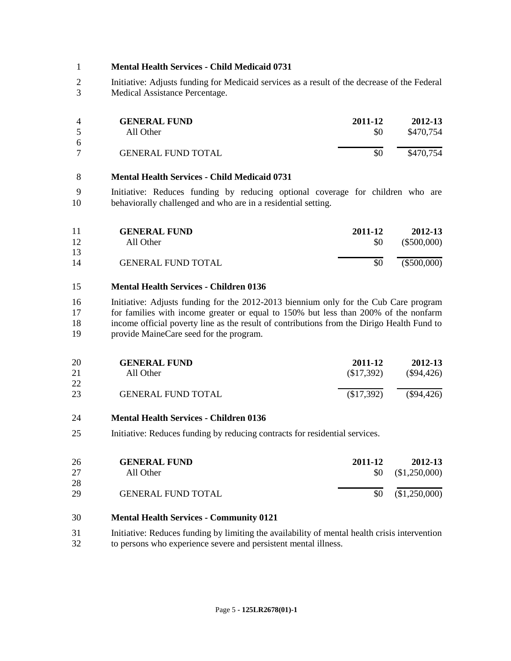### **Mental Health Services - Child Medicaid 0731**

 Initiative: Adjusts funding for Medicaid services as a result of the decrease of the Federal Medical Assistance Percentage.

| $\overline{4}$ | <b>GENERAL FUND</b>       | 2011-12 | 2012-13   |
|----------------|---------------------------|---------|-----------|
| $\sim$         | All Other                 | \$0     | \$470,754 |
| -6             |                           |         |           |
|                | <b>GENERAL FUND TOTAL</b> | \$0     | \$470,754 |

### **Mental Health Services - Child Medicaid 0731**

 Initiative: Reduces funding by reducing optional coverage for children who are behaviorally challenged and who are in a residential setting.

| 11       | <b>GENERAL FUND</b>       | 2011-12 | 2012-13       |
|----------|---------------------------|---------|---------------|
| 12       | All Other                 | \$0     | $(\$500,000)$ |
| 13<br>14 | <b>GENERAL FUND TOTAL</b> | \$0     | $(\$500,000)$ |

### **Mental Health Services - Children 0136**

 Initiative: Adjusts funding for the 2012-2013 biennium only for the Cub Care program for families with income greater or equal to 150% but less than 200% of the nonfarm income official poverty line as the result of contributions from the Dirigo Health Fund to provide MaineCare seed for the program.

| <b>20</b> | <b>GENERAL FUND</b>       | 2011-12    | 2012-13      |
|-----------|---------------------------|------------|--------------|
| 21        | All Other                 | (S17,392)  | $(\$94,426)$ |
| 22        |                           |            |              |
| 23        | <b>GENERAL FUND TOTAL</b> | (\$17,392) | $(\$94,426)$ |

### **Mental Health Services - Children 0136**

Initiative: Reduces funding by reducing contracts for residential services.

| 26<br>27 | <b>GENERAL FUND</b><br>All Other | 2011-12<br>SO. | 2012-13<br>\$1,250,000 |
|----------|----------------------------------|----------------|------------------------|
| 28<br>29 | <b>GENERAL FUND TOTAL</b>        | \$0            | (\$1,250,000)          |
|          |                                  |                |                        |

### **Mental Health Services - Community 0121**

 Initiative: Reduces funding by limiting the availability of mental health crisis intervention to persons who experience severe and persistent mental illness.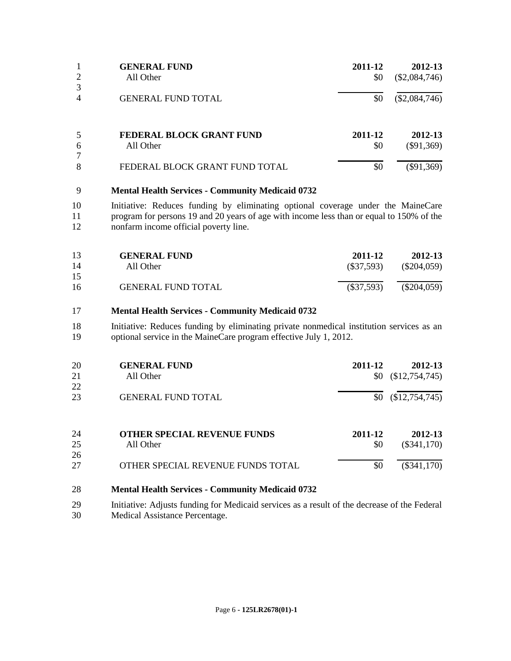| 1              | <b>GENERAL FUND</b>            | 2011-12 | 2012-13         |
|----------------|--------------------------------|---------|-----------------|
| $\overline{2}$ | All Other                      | \$0     | $(\$2,084,746)$ |
| 3              |                                |         |                 |
| 4              | <b>GENERAL FUND TOTAL</b>      | \$0     | $(\$2,084,746)$ |
|                |                                |         |                 |
| 5              | FEDERAL BLOCK GRANT FUND       | 2011-12 | 2012-13         |
| 6              | All Other                      | \$0     | $(\$91,369)$    |
| 7              |                                |         |                 |
| 8              | FEDERAL BLOCK GRANT FUND TOTAL | \$0     | $(\$91,369)$    |

### **Mental Health Services - Community Medicaid 0732**

 Initiative: Reduces funding by eliminating optional coverage under the MaineCare program for persons 19 and 20 years of age with income less than or equal to 150% of the 12 nonfarm income official poverty line.

| 13 | <b>GENERAL FUND</b>       | 2011-12      | 2012-13       |
|----|---------------------------|--------------|---------------|
| 14 | All Other                 | (S37,593)    | $(\$204,059)$ |
| 15 |                           |              |               |
| 16 | <b>GENERAL FUND TOTAL</b> | $(\$37,593)$ | $(\$204,059)$ |

### **Mental Health Services - Community Medicaid 0732**

 Initiative: Reduces funding by eliminating private nonmedical institution services as an optional service in the MaineCare program effective July 1, 2012.

| <b>20</b><br>21<br>22 | <b>GENERAL FUND</b><br>All Other   | 2011-12<br>\$0 | 2012-13<br>(\$12,754,745) |
|-----------------------|------------------------------------|----------------|---------------------------|
| 23                    | <b>GENERAL FUND TOTAL</b>          | \$0            | (\$12,754,745)            |
| 24                    | <b>OTHER SPECIAL REVENUE FUNDS</b> | 2011-12        | 2012-13                   |
| 25                    | All Other                          | \$0            | $(\$341,170)$             |
| 26<br>27              | OTHER SPECIAL REVENUE FUNDS TOTAL  | \$0            | $(\$341,170)$             |

### **Mental Health Services - Community Medicaid 0732**

 Initiative: Adjusts funding for Medicaid services as a result of the decrease of the Federal Medical Assistance Percentage.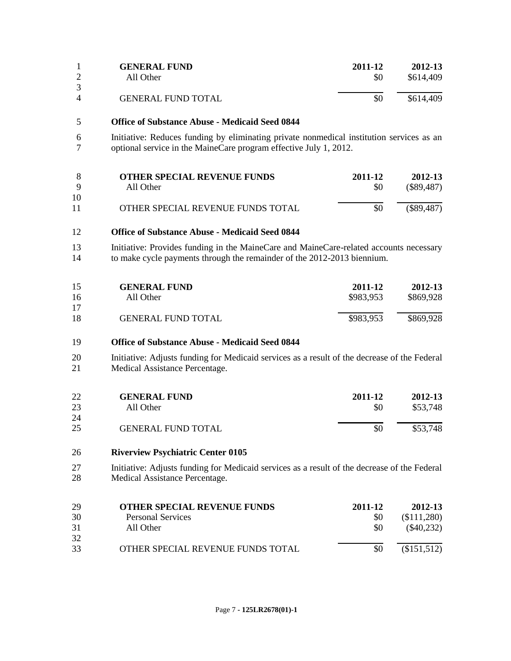| 2012-13<br>\$614,409                                                                         |
|----------------------------------------------------------------------------------------------|
| \$614,409                                                                                    |
|                                                                                              |
| Initiative: Reduces funding by eliminating private nonmedical institution services as an     |
| 2012-13<br>$(\$89,487)$                                                                      |
| $(\$89,487)$                                                                                 |
|                                                                                              |
| Initiative: Provides funding in the MaineCare and MaineCare-related accounts necessary       |
| 2012-13<br>\$869,928                                                                         |
| \$869,928                                                                                    |
|                                                                                              |
| Initiative: Adjusts funding for Medicaid services as a result of the decrease of the Federal |
| 2012-13<br>\$53,748                                                                          |
| \$53,748                                                                                     |
|                                                                                              |
| Initiative: Adjusts funding for Medicaid services as a result of the decrease of the Federal |
| 2012-13<br>(\$111,280)<br>$(\$40,232)$<br>(\$151,512)                                        |
|                                                                                              |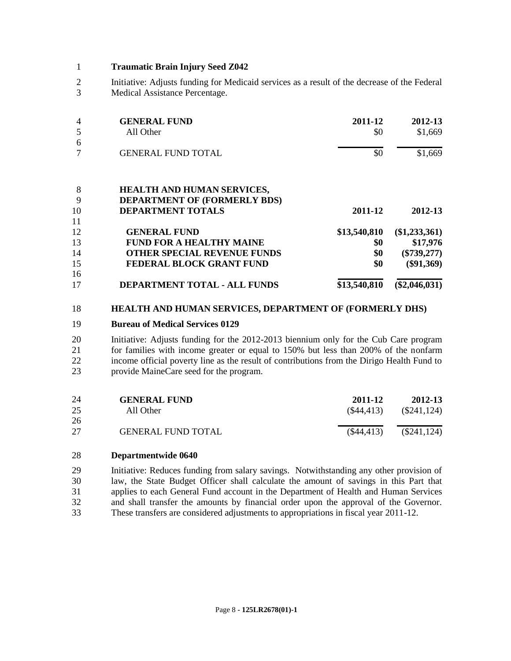### **Traumatic Brain Injury Seed Z042**

 Initiative: Adjusts funding for Medicaid services as a result of the decrease of the Federal Medical Assistance Percentage.

| $\overline{4}$ | <b>GENERAL FUND</b>                | 2011-12      | 2012-13         |
|----------------|------------------------------------|--------------|-----------------|
| 5              | All Other                          | \$0          | \$1,669         |
| 6              |                                    |              |                 |
|                | <b>GENERAL FUND TOTAL</b>          | \$0          | \$1,669         |
| 8              | <b>HEALTH AND HUMAN SERVICES,</b>  |              |                 |
| 9              | DEPARTMENT OF (FORMERLY BDS)       |              |                 |
| 10             | <b>DEPARTMENT TOTALS</b>           | 2011-12      | 2012-13         |
| 11             |                                    |              |                 |
| 12             | <b>GENERAL FUND</b>                | \$13,540,810 | $(\$1,233,361)$ |
| 13             | <b>FUND FOR A HEALTHY MAINE</b>    | \$0          | \$17,976        |
| 14             | <b>OTHER SPECIAL REVENUE FUNDS</b> | \$0          | $(\$739,277)$   |
| 15             | <b>FEDERAL BLOCK GRANT FUND</b>    | \$0          | $(\$91,369)$    |
| 16             |                                    |              |                 |
| 17             | DEPARTMENT TOTAL - ALL FUNDS       | \$13,540,810 | $(\$2,046,031)$ |

#### **HEALTH AND HUMAN SERVICES, DEPARTMENT OF (FORMERLY DHS)**

#### **Bureau of Medical Services 0129**

 Initiative: Adjusts funding for the 2012-2013 biennium only for the Cub Care program for families with income greater or equal to 150% but less than 200% of the nonfarm income official poverty line as the result of contributions from the Dirigo Health Fund to provide MaineCare seed for the program.

| 24 | <b>GENERAL FUND</b>       | 2011-12    | 2012-13        |
|----|---------------------------|------------|----------------|
| 25 | All Other                 | (S44, 413) | $(\$241, 124)$ |
| 26 |                           |            |                |
| 27 | <b>GENERAL FUND TOTAL</b> | (S44, 413) | $(\$241, 124)$ |

#### **Departmentwide 0640**

 Initiative: Reduces funding from salary savings. Notwithstanding any other provision of law, the State Budget Officer shall calculate the amount of savings in this Part that 31 applies to each General Fund account in the Department of Health and Human Services<br>32 and shall transfer the amounts by financial order upon the approval of the Governor and shall transfer the amounts by financial order upon the approval of the Governor. These transfers are considered adjustments to appropriations in fiscal year 2011-12.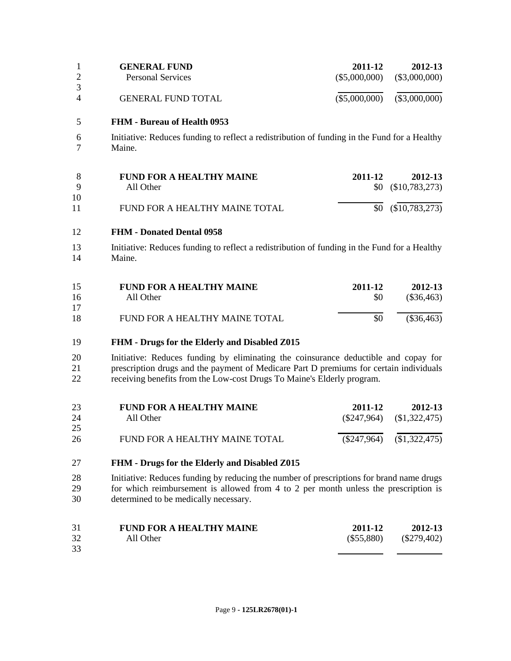|                | <b>GENERAL FUND</b><br><b>Personal Services</b> | 2011-12                         | 2012-13<br>$($5,000,000)$ $($3,000,000)$ |
|----------------|-------------------------------------------------|---------------------------------|------------------------------------------|
| $\overline{4}$ | <b>GENERAL FUND TOTAL</b>                       | $(\$5,000,000)$ $(\$3,000,000)$ |                                          |

# **FHM - Bureau of Health 0953**

 Initiative: Reduces funding to reflect a redistribution of funding in the Fund for a Healthy Maine.

| - 8          | <b>FUND FOR A HEALTHY MAINE</b> | 2011-12 | 2012-13                  |
|--------------|---------------------------------|---------|--------------------------|
| $\mathbf{Q}$ | All Other                       |         | $$0 \quad ($10,783,273)$ |
| 10           |                                 |         |                          |
| 11           | FUND FOR A HEALTHY MAINE TOTAL  |         | $$0 \quad ($10,783,273)$ |
|              |                                 |         |                          |

# **FHM - Donated Dental 0958**

 Initiative: Reduces funding to reflect a redistribution of funding in the Fund for a Healthy Maine.

| 15 | <b>FUND FOR A HEALTHY MAINE</b> | 2011-12 | 2012-13      |
|----|---------------------------------|---------|--------------|
| 16 | All Other                       | \$0     | $(\$36,463)$ |
| 17 |                                 |         |              |
| 18 | FUND FOR A HEALTHY MAINE TOTAL  | \$0     | $(\$36,463)$ |

# **FHM - Drugs for the Elderly and Disabled Z015**

 Initiative: Reduces funding by eliminating the coinsurance deductible and copay for prescription drugs and the payment of Medicare Part D premiums for certain individuals receiving benefits from the Low-cost Drugs To Maine's Elderly program.

| 23 | <b>FUND FOR A HEALTHY MAINE</b> | 2011-12 | 2012-13                       |
|----|---------------------------------|---------|-------------------------------|
| 24 | All Other                       |         | $(\$247,964)$ $(\$1,322,475)$ |
| 25 |                                 |         |                               |
| 26 | FUND FOR A HEALTHY MAINE TOTAL  |         | $(\$247,964)$ $(\$1,322,475)$ |

# **FHM - Drugs for the Elderly and Disabled Z015**

 Initiative: Reduces funding by reducing the number of prescriptions for brand name drugs for which reimbursement is allowed from 4 to 2 per month unless the prescription is determined to be medically necessary.

| 31 | <b>FUND FOR A HEALTHY MAINE</b> | 2011-12 | 2012-13                    |
|----|---------------------------------|---------|----------------------------|
| 32 | All Other                       |         | $(\$55,880)$ $(\$279,402)$ |
| 33 |                                 |         |                            |

Page 9 **- 125LR2678(01)-1**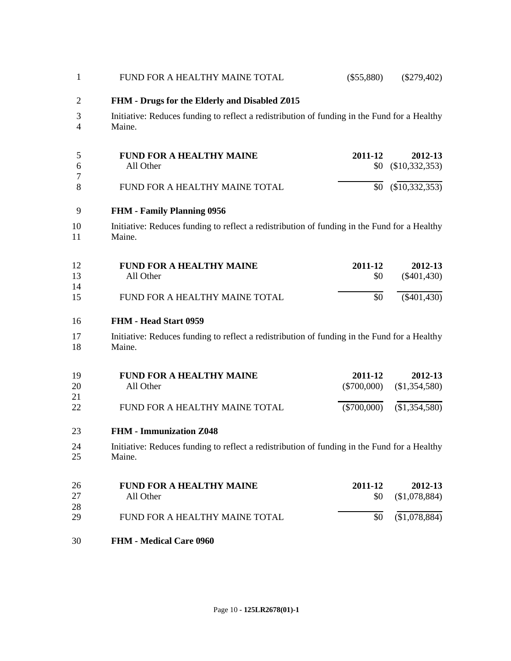| $\mathbf{1}$        | FUND FOR A HEALTHY MAINE TOTAL                                                                         | $(\$55,880)$             | $(\$279,402)$               |
|---------------------|--------------------------------------------------------------------------------------------------------|--------------------------|-----------------------------|
| $\overline{2}$      | FHM - Drugs for the Elderly and Disabled Z015                                                          |                          |                             |
| 3<br>$\overline{4}$ | Initiative: Reduces funding to reflect a redistribution of funding in the Fund for a Healthy<br>Maine. |                          |                             |
| 5<br>6              | <b>FUND FOR A HEALTHY MAINE</b><br>All Other                                                           | 2011-12<br>\$0           | 2012-13<br>$(\$10,332,353)$ |
| $\tau$<br>8         | FUND FOR A HEALTHY MAINE TOTAL                                                                         |                          | $$0 \quad ($10,332,353)$    |
| 9                   | <b>FHM - Family Planning 0956</b>                                                                      |                          |                             |
| 10<br>11            | Initiative: Reduces funding to reflect a redistribution of funding in the Fund for a Healthy<br>Maine. |                          |                             |
| 12<br>13            | <b>FUND FOR A HEALTHY MAINE</b><br>All Other                                                           | 2011-12<br>\$0           | 2012-13<br>$(\$401,430)$    |
| 14<br>15            | FUND FOR A HEALTHY MAINE TOTAL                                                                         | \$0                      | $(\$401,430)$               |
| 16                  | FHM - Head Start 0959                                                                                  |                          |                             |
| 17<br>18            | Initiative: Reduces funding to reflect a redistribution of funding in the Fund for a Healthy<br>Maine. |                          |                             |
| 19<br>20<br>21      | <b>FUND FOR A HEALTHY MAINE</b><br>All Other                                                           | 2011-12<br>$(\$700,000)$ | 2012-13<br>(\$1,354,580)    |
| 22                  | FUND FOR A HEALTHY MAINE TOTAL                                                                         | $(\$700,000)$            | (\$1,354,580)               |
| 23                  | <b>FHM - Immunization Z048</b>                                                                         |                          |                             |
| 24<br>25            | Initiative: Reduces funding to reflect a redistribution of funding in the Fund for a Healthy<br>Maine. |                          |                             |
| 26<br>27<br>28      | <b>FUND FOR A HEALTHY MAINE</b><br>All Other                                                           | 2011-12<br>\$0           | 2012-13<br>(\$1,078,884)    |
| 29                  | FUND FOR A HEALTHY MAINE TOTAL                                                                         | \$0                      | (\$1,078,884)               |
| 30                  | <b>FHM - Medical Care 0960</b>                                                                         |                          |                             |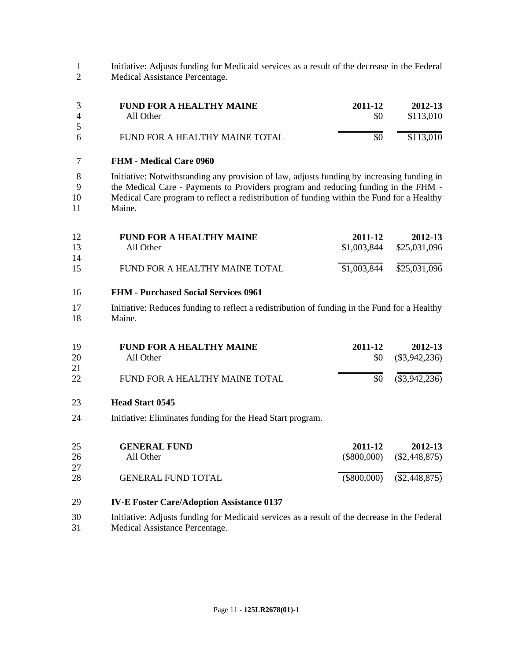1 Initiative: Adjusts funding for Medicaid services as a result of the decrease in the Federal 2 Medical Assistance Percentage. Medical Assistance Percentage.

| $\overline{4}$ | <b>FUND FOR A HEALTHY MAINE</b><br>All Other | 2011-12<br><b>SO</b> | 2012-13<br>\$113,010 |
|----------------|----------------------------------------------|----------------------|----------------------|
| 5<br>6         | FUND FOR A HEALTHY MAINE TOTAL               | \$0                  | \$113,010            |
|                |                                              |                      |                      |

### **FHM - Medical Care 0960**

 Initiative: Notwithstanding any provision of law, adjusts funding by increasing funding in the Medical Care - Payments to Providers program and reducing funding in the FHM - Medical Care program to reflect a redistribution of funding within the Fund for a Healthy Maine.

| 12 | <b>FUND FOR A HEALTHY MAINE</b> | 2011-12     | 2012-13                    |
|----|---------------------------------|-------------|----------------------------|
| 13 | All Other                       |             | $$1,003,844$ $$25,031,096$ |
| 14 |                                 |             |                            |
| 15 | FUND FOR A HEALTHY MAINE TOTAL  | \$1,003,844 | \$25,031,096               |

#### **FHM - Purchased Social Services 0961**

 Initiative: Reduces funding to reflect a redistribution of funding in the Fund for a Healthy Maine.

| 19<br>20<br>21<br>22 | <b>FUND FOR A HEALTHY MAINE</b><br>All Other<br>FUND FOR A HEALTHY MAINE TOTAL       | 2011-12<br>\$0<br>\$0    | 2012-13<br>$(\$3,942,236)$<br>$(\$3,942,236)$ |
|----------------------|--------------------------------------------------------------------------------------|--------------------------|-----------------------------------------------|
| 23<br>24             | <b>Head Start 0545</b><br>Initiative: Eliminates funding for the Head Start program. |                          |                                               |
| 25<br>26<br>27       | <b>GENERAL FUND</b><br>All Other                                                     | 2011-12<br>$(\$800,000)$ | 2012-13<br>$(\$2,448,875)$                    |

 GENERAL FUND TOTAL (\$800,000) (\$2,448,875)

### **IV-E Foster Care/Adoption Assistance 0137**

 Initiative: Adjusts funding for Medicaid services as a result of the decrease in the Federal Medical Assistance Percentage.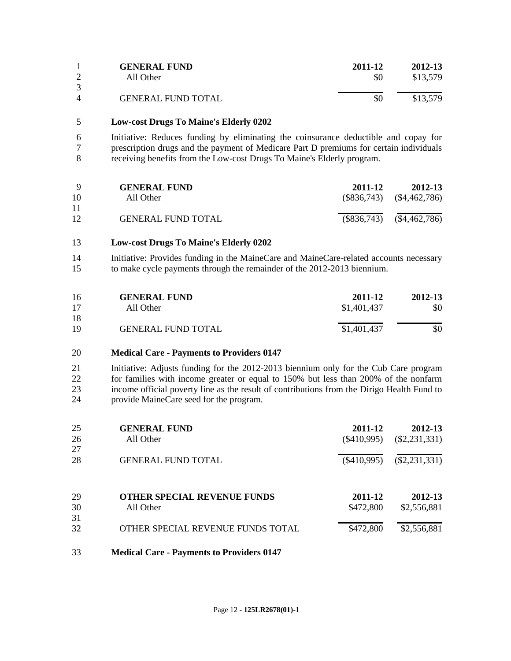|   | <b>GENERAL FUND</b><br>All Other | 2011-12<br>\$0 | 2012-13<br>\$13,579 |
|---|----------------------------------|----------------|---------------------|
|   |                                  |                |                     |
| 4 | <b>GENERAL FUND TOTAL</b>        | \$0            | \$13,579            |

### **Low-cost Drugs To Maine's Elderly 0202**

 Initiative: Reduces funding by eliminating the coinsurance deductible and copay for 7 prescription drugs and the payment of Medicare Part D premiums for certain individuals<br>8 receiving benefits from the Low-cost Drugs To Maine's Elderly program. receiving benefits from the Low-cost Drugs To Maine's Elderly program.

| <b>Q</b> | <b>GENERAL FUND</b>       | 2011-12 | 2012-13                       |
|----------|---------------------------|---------|-------------------------------|
| 10       | All Other                 |         | $(\$836,743)$ $(\$4,462,786)$ |
| 11       |                           |         |                               |
| 12       | <b>GENERAL FUND TOTAL</b> |         | $(\$836,743)$ $(\$4,462,786)$ |

#### **Low-cost Drugs To Maine's Elderly 0202**

 Initiative: Provides funding in the MaineCare and MaineCare-related accounts necessary to make cycle payments through the remainder of the 2012-2013 biennium.

| 16 | <b>GENERAL FUND</b>       | 2011-12     | 2012-13 |
|----|---------------------------|-------------|---------|
| 17 | All Other                 | \$1,401,437 | \$0     |
| 18 |                           |             |         |
| 19 | <b>GENERAL FUND TOTAL</b> | \$1,401,437 | \$0     |

#### **Medical Care - Payments to Providers 0147**

 Initiative: Adjusts funding for the 2012-2013 biennium only for the Cub Care program for families with income greater or equal to 150% but less than 200% of the nonfarm income official poverty line as the result of contributions from the Dirigo Health Fund to provide MaineCare seed for the program.

| 25       | <b>GENERAL FUND</b>                | 2011-12       | 2012-13         |
|----------|------------------------------------|---------------|-----------------|
| 26<br>27 | All Other                          | $(\$410,995)$ | $(\$2,231,331)$ |
| 28       | <b>GENERAL FUND TOTAL</b>          | $(\$410,995)$ | $(\$2,231,331)$ |
| 29       | <b>OTHER SPECIAL REVENUE FUNDS</b> | 2011-12       | 2012-13         |
| 30<br>31 | All Other                          | \$472,800     | \$2,556,881     |
| 32       | OTHER SPECIAL REVENUE FUNDS TOTAL  | \$472,800     | \$2,556,881     |

**Medical Care - Payments to Providers 0147**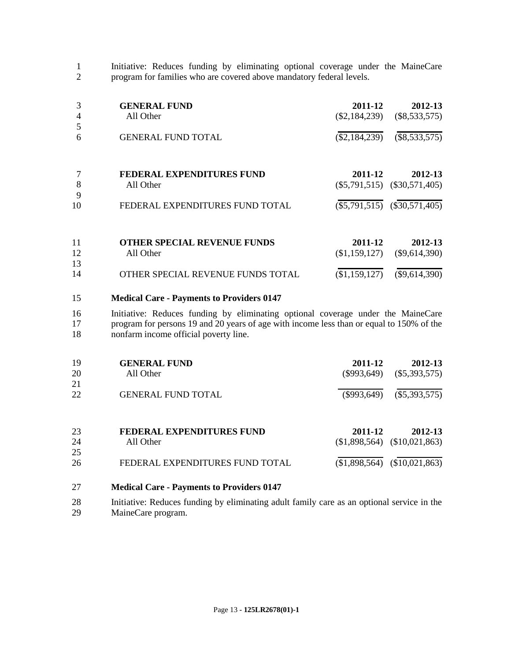1 Initiative: Reduces funding by eliminating optional coverage under the MaineCare program for families who are covered above mandatory federal levels. program for families who are covered above mandatory federal levels.

| 3<br>4  | <b>GENERAL FUND</b><br>All Other   | 2011-12<br>$(\$2,184,239)$ | 2012-13<br>$(\$8,533,575)$       |
|---------|------------------------------------|----------------------------|----------------------------------|
| 5<br>6  | <b>GENERAL FUND TOTAL</b>          | $(\$2,184,239)$            | $(\$8,533,575)$                  |
|         | FEDERAL EXPENDITURES FUND          | 2011-12                    | 2012-13                          |
| 8       | All Other                          |                            | $(\$5,791,515)$ $(\$30,571,405)$ |
| 9<br>10 | FEDERAL EXPENDITURES FUND TOTAL    |                            | $(\$5,791,515)$ $(\$30,571,405)$ |
| 11      | <b>OTHER SPECIAL REVENUE FUNDS</b> | 2011-12                    | 2012-13                          |
| 12      | All Other                          | (\$1,159,127)              | $(\$9,614,390)$                  |
| 13      |                                    |                            |                                  |
| 14      | OTHER SPECIAL REVENUE FUNDS TOTAL  | (\$1,159,127)              | $(\$9,614,390)$                  |

#### 15 **Medical Care - Payments to Providers 0147**

16 Initiative: Reduces funding by eliminating optional coverage under the MaineCare 17 program for persons 19 and 20 years of age with income less than or equal to 150% of the 18 nonfarm income official poverty line.

| 19<br>20<br>21 | <b>GENERAL FUND</b><br>All Other | 2011-12<br>$(\$993,649)$ | 2012-13<br>$(\$5,393,575)$     |
|----------------|----------------------------------|--------------------------|--------------------------------|
| 22             | <b>GENERAL FUND TOTAL</b>        | (\$993,649)              | $(\$5,393,575)$                |
| 23             | <b>FEDERAL EXPENDITURES FUND</b> | 2011-12                  | 2012-13                        |
| 24             | All Other                        |                          | $$1,898,564$ $$10,021,863$     |
| 25<br>26       | FEDERAL EXPENDITURES FUND TOTAL  |                          | $($1,898,564)$ $($10,021,863)$ |

27 **Medical Care - Payments to Providers 0147**

28 Initiative: Reduces funding by eliminating adult family care as an optional service in the 29 MaineCare program.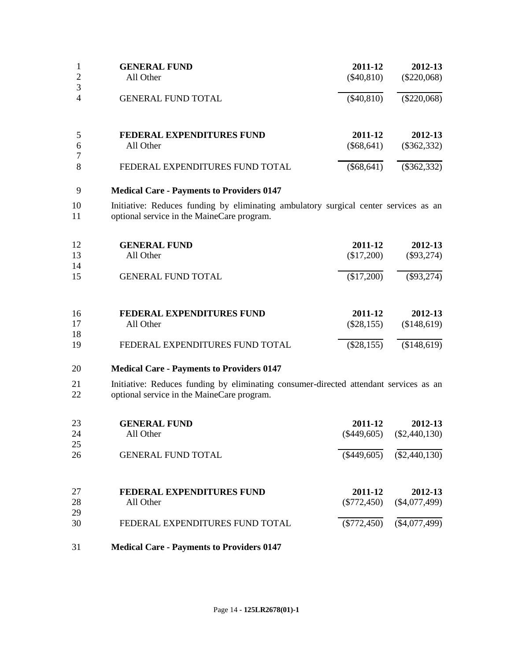| 1              | <b>GENERAL FUND</b>              | 2011-12      | 2012-13       |
|----------------|----------------------------------|--------------|---------------|
| $\overline{2}$ | All Other                        | $(\$40,810)$ | $(\$220,068)$ |
| 3              |                                  |              |               |
| $\overline{4}$ | <b>GENERAL FUND TOTAL</b>        | $(\$40,810)$ | $(\$220,068)$ |
| 5              | <b>FEDERAL EXPENDITURES FUND</b> | 2011-12      | 2012-13       |
| 6              | All Other                        | $(\$68,641)$ | $(\$362,332)$ |
| 7              |                                  |              |               |
| 8              | FEDERAL EXPENDITURES FUND TOTAL  | $(\$68,641)$ | $(\$362,332)$ |

10 Initiative: Reduces funding by eliminating ambulatory surgical center services as an 11 optional service in the MaineCare program.

| 12<br>13<br>14 | <b>GENERAL FUND</b><br>All Other | 2011-12<br>(\$17,200) | 2012-13<br>$(\$93,274)$ |
|----------------|----------------------------------|-----------------------|-------------------------|
| 15             | <b>GENERAL FUND TOTAL</b>        | (\$17,200)            | $(\$93,274)$            |
| 16             | FEDERAL EXPENDITURES FUND        | 2011-12               | 2012-13                 |
| 17             | All Other                        | $(\$28,155)$          | (\$148,619)             |
| 18<br>19       | FEDERAL EXPENDITURES FUND TOTAL  | $(\$28,155)$          | (\$148,619)             |

# 20 **Medical Care - Payments to Providers 0147**

21 Initiative: Reduces funding by eliminating consumer-directed attendant services as an 22 optional service in the MaineCare program.

| 23<br>24<br>25 | <b>GENERAL FUND</b><br>All Other       | 2011-12<br>$(\$449,605)$ | 2012-13<br>$(\$2,440,130)$ |
|----------------|----------------------------------------|--------------------------|----------------------------|
| 26             | <b>GENERAL FUND TOTAL</b>              | $(\$449,605)$            | $(\$2,440,130)$            |
| 27<br>28<br>29 | FEDERAL EXPENDITURES FUND<br>All Other | 2011-12<br>$(\$772,450)$ | 2012-13<br>$(\$4,077,499)$ |
| 30             | FEDERAL EXPENDITURES FUND TOTAL        | $(\$772,450)$            | $(\$4,077,499)$            |

31 **Medical Care - Payments to Providers 0147**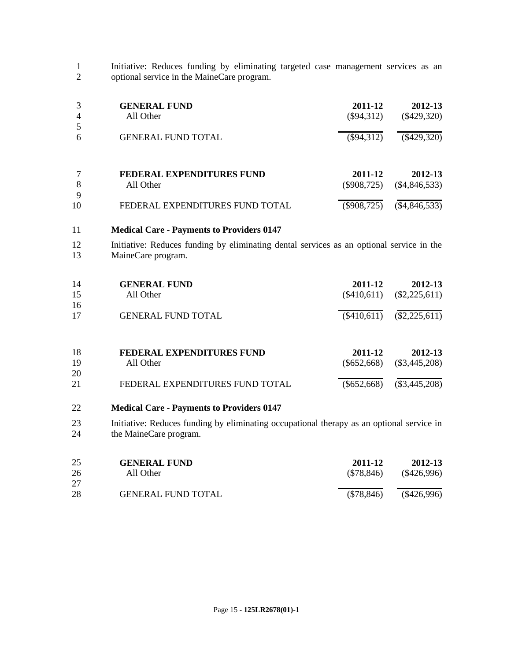1 Initiative: Reduces funding by eliminating targeted case management services as an optional service in the MaineCare program. optional service in the MaineCare program.

| 4<br>6  | <b>GENERAL FUND</b><br>All Other<br><b>GENERAL FUND TOTAL</b> | 2011-12<br>$(\$94,312)$<br>$(\$94,312)$ | 2012-13<br>$(\$429,320)$<br>$(\$429,320)$ |
|---------|---------------------------------------------------------------|-----------------------------------------|-------------------------------------------|
| 8       | <b>FEDERAL EXPENDITURES FUND</b><br>All Other                 | 2011-12<br>$(\$908,725)$                | 2012-13<br>$(\$4,846,533)$                |
| 9<br>10 | FEDERAL EXPENDITURES FUND TOTAL                               | $(\$908,725)$                           | $(\$4,846,533)$                           |

### 11 **Medical Care - Payments to Providers 0147**

12 Initiative: Reduces funding by eliminating dental services as an optional service in the MaineCare program. MaineCare program.

| -14<br>15 | <b>GENERAL FUND</b><br>All Other | 2011-12 | 2012-13<br>$(\$410,611)$ $(\$2,225,611)$ |
|-----------|----------------------------------|---------|------------------------------------------|
| 16<br>-17 | <b>GENERAL FUND TOTAL</b>        |         | $(\$410,611)$ $(\$2,225,611)$            |
| 18        | FEDERAL EXPENDITURES FUND        | 2011-12 | 2012-13                                  |

| .  | T EDEINAL EAT ENDITONES FOND    | 2011-12 | - 2012-19                     |
|----|---------------------------------|---------|-------------------------------|
| 19 | All Other                       |         | $(\$652,668)$ $(\$3,445,208)$ |
| 20 |                                 |         |                               |
| 21 | FEDERAL EXPENDITURES FUND TOTAL |         | $(\$652,668)$ $(\$3,445,208)$ |
|    |                                 |         |                               |

### 22 **Medical Care - Payments to Providers 0147**

23 Initiative: Reduces funding by eliminating occupational therapy as an optional service in the MaineCare program. the MaineCare program.

| 25<br>26 | <b>GENERAL FUND</b><br>All Other | 2011-12<br>(S78.846) | 2012-13<br>$(\$426,996)$ |
|----------|----------------------------------|----------------------|--------------------------|
| 27       |                                  |                      |                          |
| 28       | <b>GENERAL FUND TOTAL</b>        | (S78, 846)           | $(\$426,996)$            |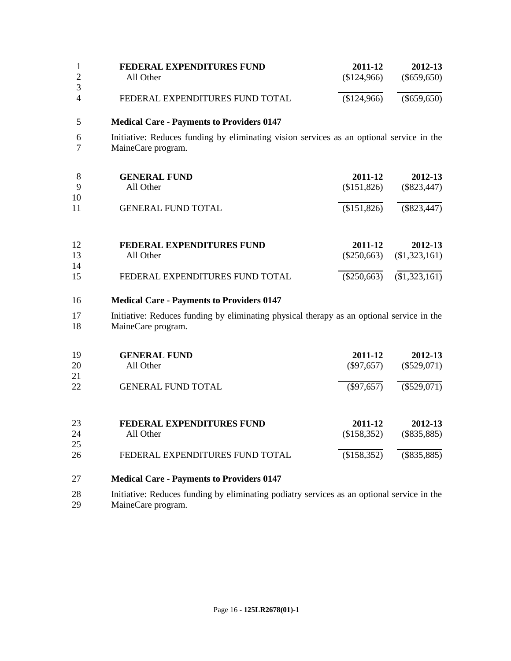|               | FEDERAL EXPENDITURES FUND       | 2011-12   | 2012-13       |
|---------------|---------------------------------|-----------|---------------|
|               | All Other                       | \$124,966 | $(\$659,650)$ |
| 3<br>$\Delta$ | FEDERAL EXPENDITURES FUND TOTAL | \$124,966 | $(\$659,650)$ |

6 Initiative: Reduces funding by eliminating vision services as an optional service in the MaineCare program.

| 8<br>-9<br>10 | <b>GENERAL FUND</b><br>All Other | 2011-12<br>(\$151,826) | 2012-13<br>$(\$823,447)$ |
|---------------|----------------------------------|------------------------|--------------------------|
| 11            | <b>GENERAL FUND TOTAL</b>        | (\$151,826)            | $(\$823,447)$            |
| 12            | FEDERAL EXPENDITURES FUND        | 2011-12                | 2012-13                  |
| 13<br>14      | All Other                        | $(\$250,663)$          | (\$1,323,161)            |

15 FEDERAL EXPENDITURES FUND TOTAL (\$250,663) (\$1,323,161)

### 16 **Medical Care - Payments to Providers 0147**

17 Initiative: Reduces funding by eliminating physical therapy as an optional service in the MaineCare program. MaineCare program.

| 19<br>20<br>21<br>22 | <b>GENERAL FUND</b><br>All Other<br><b>GENERAL FUND TOTAL</b> | 2011-12<br>$(\$97,657)$<br>$(\$97,657)$ | 2012-13<br>$(\$529,071)$<br>$(\$529,071)$ |
|----------------------|---------------------------------------------------------------|-----------------------------------------|-------------------------------------------|
| 23<br>24<br>25       | FEDERAL EXPENDITURES FUND<br>All Other                        | 2011-12<br>(\$158,352)                  | 2012-13<br>$(\$835,885)$                  |
| 26                   | FEDERAL EXPENDITURES FUND TOTAL                               | (\$158,352)                             | $(\$835,885)$                             |

- 27 **Medical Care - Payments to Providers 0147**
- 28 Initiative: Reduces funding by eliminating podiatry services as an optional service in the 29 MaineCare program.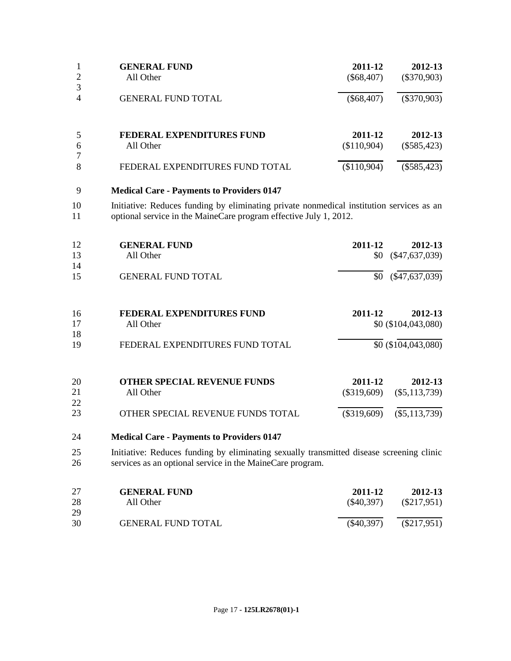| 1              | <b>GENERAL FUND</b>             | 2011-12      | 2012-13       |
|----------------|---------------------------------|--------------|---------------|
| 2              | All Other                       | $(\$68,407)$ | $(\$370,903)$ |
| 3              |                                 |              |               |
| $\overline{4}$ | <b>GENERAL FUND TOTAL</b>       | $(\$68,407)$ | $(\$370,903)$ |
| 5              | FEDERAL EXPENDITURES FUND       | 2011-12      | 2012-13       |
| 6              | All Other                       | (\$110,904)  | $(\$585,423)$ |
| 7              |                                 |              |               |
| 8              | FEDERAL EXPENDITURES FUND TOTAL | (\$110,904)  | $(\$585,423)$ |

10 Initiative: Reduces funding by eliminating private nonmedical institution services as an 11 optional service in the MaineCare program effective July 1, 2012.

| 12 | <b>GENERAL FUND</b>                | 2011-12       | 2012-13             |
|----|------------------------------------|---------------|---------------------|
| 13 | All Other                          | \$0           | $(\$47,637,039)$    |
| 14 |                                    |               |                     |
| 15 | <b>GENERAL FUND TOTAL</b>          | \$0           | $(\$47,637,039)$    |
| 16 | <b>FEDERAL EXPENDITURES FUND</b>   | 2011-12       | 2012-13             |
| 17 | All Other                          |               | \$0 (\$104,043,080) |
| 18 |                                    |               |                     |
| 19 | FEDERAL EXPENDITURES FUND TOTAL    |               | \$0 (\$104,043,080) |
| 20 | <b>OTHER SPECIAL REVENUE FUNDS</b> | 2011-12       | 2012-13             |
| 21 | All Other                          | $(\$319,609)$ | $(\$5,113,739)$     |
| 22 |                                    |               |                     |
| 23 | OTHER SPECIAL REVENUE FUNDS TOTAL  | $(\$319,609)$ | $(\$5,113,739)$     |
|    |                                    |               |                     |

24 **Medical Care - Payments to Providers 0147**

25 Initiative: Reduces funding by eliminating sexually transmitted disease screening clinic 26 services as an optional service in the MaineCare program.

| 27 | <b>GENERAL FUND</b>       | 2011-12      | 2012-13       |
|----|---------------------------|--------------|---------------|
| 28 | All Other                 | (S40.397)    | $(\$217,951)$ |
| 29 |                           |              |               |
| 30 | <b>GENERAL FUND TOTAL</b> | $(\$40,397)$ | $(\$217,951)$ |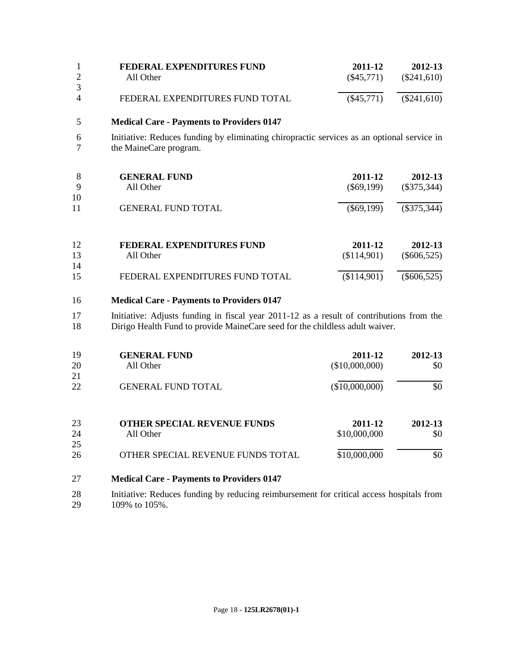|                | FEDERAL EXPENDITURES FUND       | 2011-12   | 2012-13       |
|----------------|---------------------------------|-----------|---------------|
|                | All Other                       | (S45.771) | $(\$241,610)$ |
| $\overline{4}$ | FEDERAL EXPENDITURES FUND TOTAL | (S45,771) | $(\$241,610)$ |

6 Initiative: Reduces funding by eliminating chiropractic services as an optional service in the MaineCare program.

| 8<br>9   | <b>GENERAL FUND</b><br>All Other | 2011-12<br>$(\$69,199)$ | 2012-13<br>$(\$375,344)$ |
|----------|----------------------------------|-------------------------|--------------------------|
| 10<br>11 | <b>GENERAL FUND TOTAL</b>        | $(\$69,199)$            | $(\$375,344)$            |
|          |                                  |                         |                          |
| 12       | FEDERAL EXPENDITURES FUND        | 2011-12                 | 2012-13                  |
| 13       | All Other                        | (\$114,901)             | $(\$606,525)$            |
| 14       |                                  |                         |                          |
| 15       | FEDERAL EXPENDITURES FUND TOTAL  | \$114,901)              | \$606,525                |

#### 16 **Medical Care - Payments to Providers 0147**

17 Initiative: Adjusts funding in fiscal year 2011-12 as a result of contributions from the Dirigo Health Fund to provide MaineCare seed for the childless adult waiver. Dirigo Health Fund to provide MaineCare seed for the childless adult waiver.

| 19<br>20<br>21 | <b>GENERAL FUND</b><br>All Other   | 2011-12<br>(\$10,000,000) | 2012-13<br>\$0 |
|----------------|------------------------------------|---------------------------|----------------|
| 22             | <b>GENERAL FUND TOTAL</b>          | (\$10,000,000)            | \$0            |
| 23             | <b>OTHER SPECIAL REVENUE FUNDS</b> | 2011-12                   | 2012-13        |
| 24<br>25       | All Other                          | \$10,000,000              | \$0            |
| 26             | OTHER SPECIAL REVENUE FUNDS TOTAL  | \$10,000,000              | \$0            |

### 27 **Medical Care - Payments to Providers 0147**

28 Initiative: Reduces funding by reducing reimbursement for critical access hospitals from 29 109% to 105%.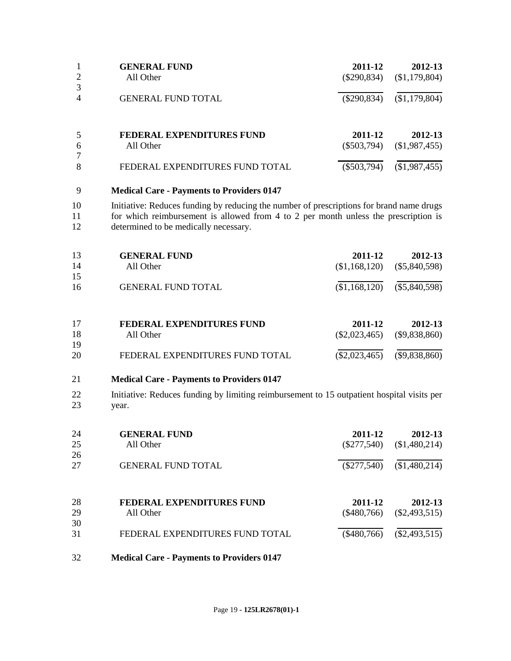|                | <b>GENERAL FUND</b>              | 2011-12       | 2012-13       |
|----------------|----------------------------------|---------------|---------------|
| 2              | All Other                        | $(\$290,834)$ | (\$1,179,804) |
| 3              |                                  |               |               |
| $\overline{4}$ | <b>GENERAL FUND TOTAL</b>        | $(\$290,834)$ | (\$1,179,804) |
| 5              | <b>FEDERAL EXPENDITURES FUND</b> | 2011-12       | 2012-13       |
| 6              | All Other                        | $(\$503,794)$ | (\$1,987,455) |
| 7              |                                  |               |               |
| 8              | FEDERAL EXPENDITURES FUND TOTAL  | $(\$503,794)$ | (\$1,987,455) |
|                |                                  |               |               |

10 Initiative: Reduces funding by reducing the number of prescriptions for brand name drugs 11 for which reimbursement is allowed from 4 to 2 per month unless the prescription is 12 determined to be medically necessary.

| <b>GENERAL FUND</b><br>All Other | 2011-12<br>(\$1,168,120)        | 2012-13<br>$(\$5,840,598)$ |
|----------------------------------|---------------------------------|----------------------------|
| <b>GENERAL FUND TOTAL</b>        | (\$1,168,120)                   | $(\$5,840,598)$            |
| FEDERAL EXPENDITURES FUND        | 2011-12                         | 2012-13                    |
| All Other                        | $(\$2,023,465)$                 | $(\$9,838,860)$            |
|                                  |                                 | $(\$9,838,860)$            |
|                                  | FEDERAL EXPENDITURES FUND TOTAL | $(\$2,023,465)$            |

#### 21 **Medical Care - Payments to Providers 0147**

22 Initiative: Reduces funding by limiting reimbursement to 15 outpatient hospital visits per vear. year.

| 24<br>25<br>26 | <b>GENERAL FUND</b><br>All Other       | 2011-12<br>$(\$277,540)$ | 2012-13<br>(\$1,480,214)   |
|----------------|----------------------------------------|--------------------------|----------------------------|
| 27             | <b>GENERAL FUND TOTAL</b>              | $(\$277,540)$            | (\$1,480,214)              |
| 28<br>29       | FEDERAL EXPENDITURES FUND<br>All Other | 2011-12<br>$(\$480,766)$ | 2012-13<br>$(\$2,493,515)$ |
| 30<br>31       | FEDERAL EXPENDITURES FUND TOTAL        | $(\$480,766)$            | $(\$2,493,515)$            |

32 **Medical Care - Payments to Providers 0147**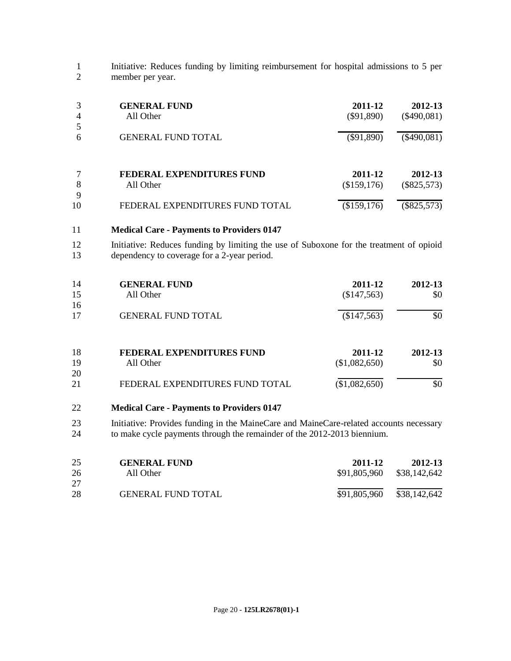1 Initiative: Reduces funding by limiting reimbursement for hospital admissions to 5 per member per vear. member per year.

| $\overline{4}$ | <b>GENERAL FUND</b>              | 2011-12      | 2012-13       |
|----------------|----------------------------------|--------------|---------------|
|                | All Other                        | $(\$91,890)$ | $(\$490,081)$ |
| 6              | <b>GENERAL FUND TOTAL</b>        | $(\$91,890)$ | $(\$490,081)$ |
| 8              | <b>FEDERAL EXPENDITURES FUND</b> | 2011-12      | 2012-13       |
|                | All Other                        | (\$159,176)  | $(\$825,573)$ |
| 9<br>10        | FEDERAL EXPENDITURES FUND TOTAL  | (\$159,176)  | $(\$825,573)$ |

### 11 **Medical Care - Payments to Providers 0147**

12 Initiative: Reduces funding by limiting the use of Suboxone for the treatment of opioid dependency to coverage for a 2-vear period. dependency to coverage for a 2-year period.

| 14<br>15 | <b>GENERAL FUND</b><br>All Other | 2011-12<br>(\$147,563) | 2012-13<br>\$0 |
|----------|----------------------------------|------------------------|----------------|
| 16<br>17 | <b>GENERAL FUND TOTAL</b>        | (\$147,563)            | \$0            |
| 1 Q      | FEDERAL EXPENDITIOFS FUND        | 2011-12                | $2012-13$      |

| -18 | FEDERAL EXPENDITURES FUND       | <b>2011-12</b> | Z012-13 |
|-----|---------------------------------|----------------|---------|
| 19  | All Other                       | (\$1,082,650)  | \$0     |
| 20  |                                 |                |         |
| 21  | FEDERAL EXPENDITURES FUND TOTAL | (\$1,082,650)  | \$0     |
|     |                                 |                |         |

#### 22 **Medical Care - Payments to Providers 0147**

23 Initiative: Provides funding in the MaineCare and MaineCare-related accounts necessary 24 to make cycle payments through the remainder of the 2012-2013 biennium.

| 25 | <b>GENERAL FUND</b>       | 2011-12      | 2012-13      |
|----|---------------------------|--------------|--------------|
| 26 | All Other                 | \$91.805.960 | \$38,142,642 |
| 27 |                           |              |              |
| 28 | <b>GENERAL FUND TOTAL</b> | \$91,805,960 | \$38,142,642 |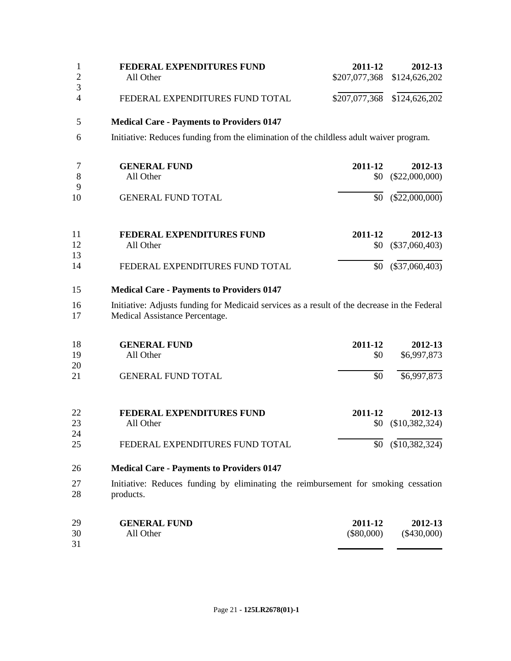|   | FEDERAL EXPENDITURES FUND<br>All Other | 2011-12 | 2012-13<br>\$207,077,368 \$124,626,202 |
|---|----------------------------------------|---------|----------------------------------------|
| 4 | FEDERAL EXPENDITURES FUND TOTAL        |         | \$207,077,368 \$124,626,202            |

Initiative: Reduces funding from the elimination of the childless adult waiver program.

|    | <b>GENERAL FUND</b>              | 2011-12 | 2012-13          |
|----|----------------------------------|---------|------------------|
| 8  | All Other                        | \$0     | $(\$22,000,000)$ |
| 9  |                                  |         |                  |
| 10 | <b>GENERAL FUND TOTAL</b>        | \$0     | $(\$22,000,000)$ |
| 11 | <b>FEDERAL EXPENDITURES FUND</b> | 2011-12 | 2012-13          |
|    |                                  |         |                  |
| 12 | All Other                        | \$0     | $(\$37,060,403)$ |
| 13 |                                  |         |                  |
| 14 | FEDERAL EXPENDITURES FUND TOTAL  |         | $(\$37,060,403)$ |

# **Medical Care - Payments to Providers 0147**

 Initiative: Adjusts funding for Medicaid services as a result of the decrease in the Federal Medical Assistance Percentage.

| 18              | <b>GENERAL FUND</b>             | 2011-12 | 2012-13          |
|-----------------|---------------------------------|---------|------------------|
| 19<br><b>20</b> | All Other                       | \$0     | \$6,997,873      |
| 21              | <b>GENERAL FUND TOTAL</b>       | \$0     | \$6,997,873      |
|                 |                                 |         |                  |
| 22              | FEDERAL EXPENDITURES FUND       | 2011-12 | 2012-13          |
| 23              | All Other                       | \$0     | (\$10,382,324)   |
| 24<br>25        | FEDERAL EXPENDITURES FUND TOTAL |         | $(\$10,382,324)$ |

# **Medical Care - Payments to Providers 0147**

 Initiative: Reduces funding by eliminating the reimbursement for smoking cessation products.

| 29 | <b>GENERAL FUND</b> | 2011-12      | 2012-13       |
|----|---------------------|--------------|---------------|
| 30 | All Other           | $(\$80,000)$ | $(\$430,000)$ |
| 31 |                     |              |               |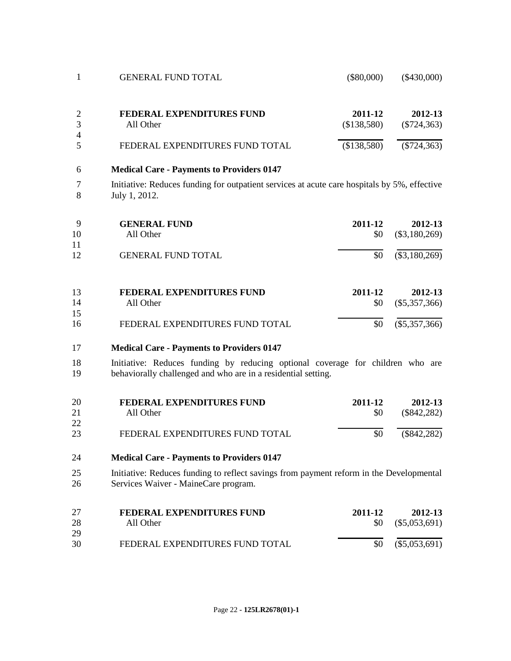| 1              | <b>GENERAL FUND TOTAL</b>                                                                                                                       | $(\$80,000)$           | $(\$430,000)$              |
|----------------|-------------------------------------------------------------------------------------------------------------------------------------------------|------------------------|----------------------------|
| 2<br>3<br>4    | <b>FEDERAL EXPENDITURES FUND</b><br>All Other                                                                                                   | 2011-12<br>(\$138,580) | 2012-13<br>$(\$724,363)$   |
| 5              | FEDERAL EXPENDITURES FUND TOTAL                                                                                                                 | (\$138,580)            | $(\$724,363)$              |
| 6              | <b>Medical Care - Payments to Providers 0147</b>                                                                                                |                        |                            |
| 7<br>8         | Initiative: Reduces funding for outpatient services at acute care hospitals by 5%, effective<br>July 1, 2012.                                   |                        |                            |
| 9<br>10        | <b>GENERAL FUND</b><br>All Other                                                                                                                | 2011-12<br>\$0         | 2012-13<br>$(\$3,180,269)$ |
| 11<br>12       | <b>GENERAL FUND TOTAL</b>                                                                                                                       | \$0                    | $(\$3,180,269)$            |
| 13<br>14<br>15 | <b>FEDERAL EXPENDITURES FUND</b><br>All Other                                                                                                   | 2011-12<br>\$0         | 2012-13<br>$(\$5,357,366)$ |
| 16             | FEDERAL EXPENDITURES FUND TOTAL                                                                                                                 | \$0                    | $(\$5,357,366)$            |
| 17             | <b>Medical Care - Payments to Providers 0147</b>                                                                                                |                        |                            |
| 18<br>19       | Initiative: Reduces funding by reducing optional coverage for children who are<br>behaviorally challenged and who are in a residential setting. |                        |                            |

| 20 | FEDERAL EXPENDITURES FUND       | 2011-12 | 2012-13       |
|----|---------------------------------|---------|---------------|
| 21 | All Other                       | \$0     | $(\$842,282)$ |
| 22 |                                 |         |               |
| 23 | FEDERAL EXPENDITURES FUND TOTAL | \$0     | $(\$842,282)$ |

- **Medical Care - Payments to Providers 0147**
- Initiative: Reduces funding to reflect savings from payment reform in the Developmental Services Waiver - MaineCare program.

| 27 | FEDERAL EXPENDITURES FUND       | 2011-12   | 2012-13                 |
|----|---------------------------------|-----------|-------------------------|
| 28 | All Other                       |           | $$0 \quad ($5,053,691)$ |
| 29 |                                 |           |                         |
| 30 | FEDERAL EXPENDITURES FUND TOTAL | <b>SO</b> | $(\$5,053,691)$         |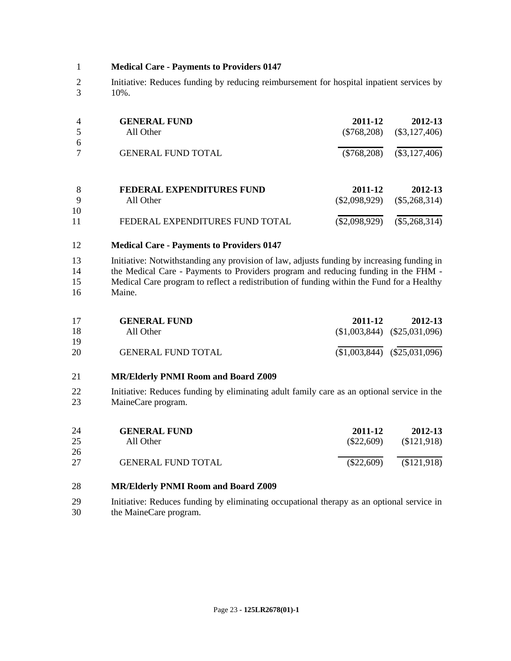Initiative: Reduces funding by reducing reimbursement for hospital inpatient services by 10%.

| $\overline{4}$<br>6 | <b>GENERAL FUND</b><br>All Other<br><b>GENERAL FUND TOTAL</b> | 2011-12<br>$(\$768,208)$<br>$(\$768,208)$ | 2012-13<br>$(\$3,127,406)$<br>$(\$3,127,406)$ |
|---------------------|---------------------------------------------------------------|-------------------------------------------|-----------------------------------------------|
| 8                   | <b>FEDERAL EXPENDITURES FUND</b>                              | 2011-12                                   | 2012-13                                       |
| 9<br>10             | All Other                                                     | $(\$2,098,929)$                           | $(\$5,268,314)$                               |
| 11                  | FEDERAL EXPENDITURES FUND TOTAL                               | $(\$2,098,929)$                           | $(\$5,268,314)$                               |

### **Medical Care - Payments to Providers 0147**

 Initiative: Notwithstanding any provision of law, adjusts funding by increasing funding in the Medical Care - Payments to Providers program and reducing funding in the FHM - Medical Care program to reflect a redistribution of funding within the Fund for a Healthy Maine.

| 17 | <b>GENERAL FUND</b>       | 2011-12 | 2012-13                        |
|----|---------------------------|---------|--------------------------------|
| 18 | All Other                 |         | $($1,003,844)$ $($25,031,096)$ |
| 19 |                           |         |                                |
| 20 | <b>GENERAL FUND TOTAL</b> |         | $($1,003,844)$ $($25,031,096)$ |

### **MR/Elderly PNMI Room and Board Z009**

 Initiative: Reduces funding by eliminating adult family care as an optional service in the MaineCare program.

| 24 | <b>GENERAL FUND</b>       | 2011-12      | 2012-13     |
|----|---------------------------|--------------|-------------|
| 25 | All Other                 | $(\$22,609)$ | (\$121,918) |
| 26 |                           |              |             |
| 27 | <b>GENERAL FUND TOTAL</b> | $(\$22,609)$ | \$121,918   |

### **MR/Elderly PNMI Room and Board Z009**

 Initiative: Reduces funding by eliminating occupational therapy as an optional service in the MaineCare program.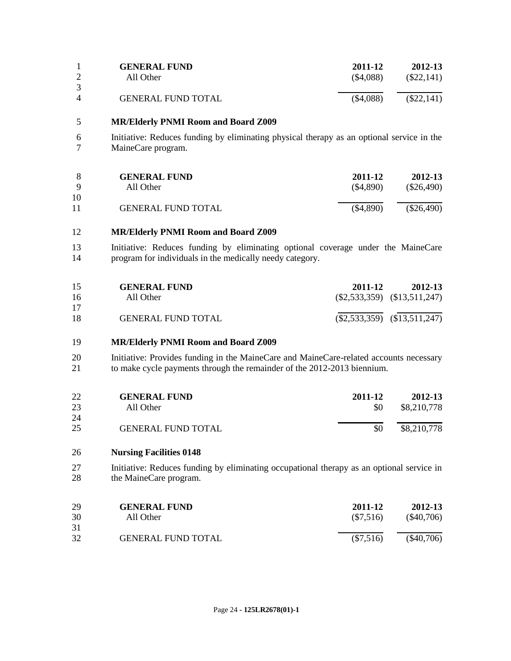|          | <b>GENERAL FUND</b>       | 2011-12     | 2012-13      |
|----------|---------------------------|-------------|--------------|
|          | All Other                 | $(\$4,088)$ | $(\$22,141)$ |
| 3        |                           |             |              |
| $\Delta$ | <b>GENERAL FUND TOTAL</b> | (\$4,088)   | $(\$22,141)$ |

### **MR/Elderly PNMI Room and Board Z009**

 Initiative: Reduces funding by eliminating physical therapy as an optional service in the MaineCare program.

|     | <b>GENERAL FUND</b>       | 2011-12     | 2012-13      |
|-----|---------------------------|-------------|--------------|
| - Q | All Other                 | $(\$4,890)$ | $(\$26,490)$ |
| 10  |                           |             |              |
| 11  | <b>GENERAL FUND TOTAL</b> | (\$4,890)   | $(\$26,490)$ |

### **MR/Elderly PNMI Room and Board Z009**

 Initiative: Reduces funding by eliminating optional coverage under the MaineCare program for individuals in the medically needy category.

| 15       | <b>GENERAL FUND</b>       | 2011-12 | 2012-13                          |
|----------|---------------------------|---------|----------------------------------|
| 16       | All Other                 |         | $(\$2,533,359)$ $(\$13,511,247)$ |
| 17<br>18 | <b>GENERAL FUND TOTAL</b> |         | $(\$2,533,359)$ $(\$13,511,247)$ |

### **MR/Elderly PNMI Room and Board Z009**

 Initiative: Provides funding in the MaineCare and MaineCare-related accounts necessary to make cycle payments through the remainder of the 2012-2013 biennium.

| 22 | <b>GENERAL FUND</b>       | 2011-12 | 2012-13     |
|----|---------------------------|---------|-------------|
| 23 | All Other                 | \$0     | \$8,210,778 |
| 24 |                           |         |             |
| 25 | <b>GENERAL FUND TOTAL</b> | \$0     | \$8,210,778 |

### **Nursing Facilities 0148**

 Initiative: Reduces funding by eliminating occupational therapy as an optional service in 28 the MaineCare program.

| 29 | <b>GENERAL FUND</b>       | 2011-12     | 2012-13      |
|----|---------------------------|-------------|--------------|
| 30 | All Other                 | $(\$7,516)$ | $(\$40,706)$ |
| 31 |                           |             |              |
| 32 | <b>GENERAL FUND TOTAL</b> | (\$7,516)   | $(\$40,706)$ |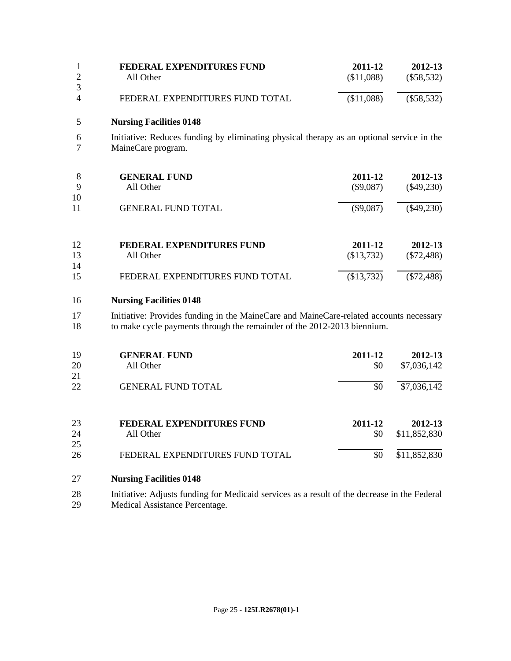|   | FEDERAL EXPENDITURES FUND       | 2011-12    | 2012-13      |
|---|---------------------------------|------------|--------------|
|   | All Other                       | (\$11,088) | $(\$58,532)$ |
| 4 | FEDERAL EXPENDITURES FUND TOTAL | (\$11,088) | $(\$58,532)$ |

### 5 **Nursing Facilities 0148**

6 Initiative: Reduces funding by eliminating physical therapy as an optional service in the MaineCare program.

| 8<br>-9<br>10 | <b>GENERAL FUND</b><br>All Other | 2011-12<br>$(\$9,087)$ | 2012-13<br>$(\$49,230)$ |
|---------------|----------------------------------|------------------------|-------------------------|
| 11            | <b>GENERAL FUND TOTAL</b>        | $(\$9,087)$            | $(\$49,230)$            |
| 12            | FEDERAL EXPENDITURES FUND        | 2011-12                | 2012-13                 |
| 13<br>14      | All Other                        | (\$13,732)             | $(\$72,488)$            |

15 FEDERAL EXPENDITURES FUND TOTAL (\$13,732) (\$72,488)

### 16 **Nursing Facilities 0148**

17 Initiative: Provides funding in the MaineCare and MaineCare-related accounts necessary<br>18 to make cycle payments through the remainder of the 2012-2013 biennium. to make cycle payments through the remainder of the 2012-2013 biennium.

| 19<br><b>20</b><br>21 | <b>GENERAL FUND</b><br>All Other             | 2011-12<br>\$0 | 2012-13<br>\$7,036,142       |
|-----------------------|----------------------------------------------|----------------|------------------------------|
| 22                    | <b>GENERAL FUND TOTAL</b>                    | \$0            | \$7,036,142                  |
| 23                    | FEDERAL EXPENDITURES FUND                    | 2011-12        | 2012-13                      |
| 24<br>25<br>26        | All Other<br>FEDERAL EXPENDITURES FUND TOTAL | \$0<br>\$0     | \$11,852,830<br>\$11,852,830 |

#### 27 **Nursing Facilities 0148**

28 Initiative: Adjusts funding for Medicaid services as a result of the decrease in the Federal 29 Medical Assistance Percentage.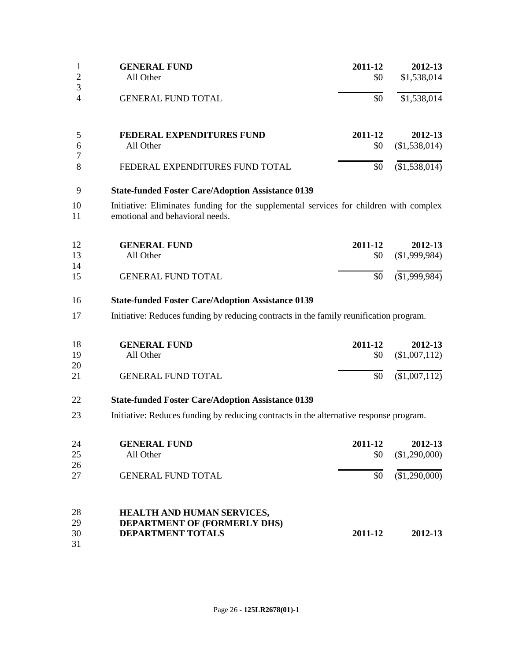| All Other<br>$\overline{2}$<br>\$0<br>\$1,538,014<br>3<br>\$0<br>\$1,538,014<br><b>GENERAL FUND TOTAL</b><br>4<br>5<br>FEDERAL EXPENDITURES FUND<br>2011-12<br>2012-13<br>All Other<br>\$0<br>(\$1,538,014)<br>6<br>7<br>(\$1,538,014)<br>8<br>FEDERAL EXPENDITURES FUND TOTAL<br>\$0<br><b>State-funded Foster Care/Adoption Assistance 0139</b><br>9<br>Initiative: Eliminates funding for the supplemental services for children with complex<br>emotional and behavioral needs.<br><b>GENERAL FUND</b><br>2011-12<br>2012-13<br>All Other<br>(\$1,999,984)<br>\$0<br><b>GENERAL FUND TOTAL</b><br>\$0<br>(\$1,999,984)<br><b>State-funded Foster Care/Adoption Assistance 0139</b><br>Initiative: Reduces funding by reducing contracts in the family reunification program.<br>18<br><b>GENERAL FUND</b><br>2011-12<br>2012-13<br>All Other<br>\$0<br>(\$1,007,112)<br>(\$1,007,112)<br>\$0<br><b>GENERAL FUND TOTAL</b><br><b>State-funded Foster Care/Adoption Assistance 0139</b><br>Initiative: Reduces funding by reducing contracts in the alternative response program.<br>24<br><b>GENERAL FUND</b><br>2011-12<br>2012-13<br>25<br>All Other<br>(\$1,290,000)<br>\$0<br>26<br>\$0<br>(\$1,290,000)<br><b>GENERAL FUND TOTAL</b><br><b>HEALTH AND HUMAN SERVICES,</b> | 1        | <b>GENERAL FUND</b>                 | 2011-12 | 2012-13 |
|-----------------------------------------------------------------------------------------------------------------------------------------------------------------------------------------------------------------------------------------------------------------------------------------------------------------------------------------------------------------------------------------------------------------------------------------------------------------------------------------------------------------------------------------------------------------------------------------------------------------------------------------------------------------------------------------------------------------------------------------------------------------------------------------------------------------------------------------------------------------------------------------------------------------------------------------------------------------------------------------------------------------------------------------------------------------------------------------------------------------------------------------------------------------------------------------------------------------------------------------------------------------------------------|----------|-------------------------------------|---------|---------|
|                                                                                                                                                                                                                                                                                                                                                                                                                                                                                                                                                                                                                                                                                                                                                                                                                                                                                                                                                                                                                                                                                                                                                                                                                                                                                   |          |                                     |         |         |
|                                                                                                                                                                                                                                                                                                                                                                                                                                                                                                                                                                                                                                                                                                                                                                                                                                                                                                                                                                                                                                                                                                                                                                                                                                                                                   |          |                                     |         |         |
|                                                                                                                                                                                                                                                                                                                                                                                                                                                                                                                                                                                                                                                                                                                                                                                                                                                                                                                                                                                                                                                                                                                                                                                                                                                                                   |          |                                     |         |         |
|                                                                                                                                                                                                                                                                                                                                                                                                                                                                                                                                                                                                                                                                                                                                                                                                                                                                                                                                                                                                                                                                                                                                                                                                                                                                                   |          |                                     |         |         |
|                                                                                                                                                                                                                                                                                                                                                                                                                                                                                                                                                                                                                                                                                                                                                                                                                                                                                                                                                                                                                                                                                                                                                                                                                                                                                   |          |                                     |         |         |
|                                                                                                                                                                                                                                                                                                                                                                                                                                                                                                                                                                                                                                                                                                                                                                                                                                                                                                                                                                                                                                                                                                                                                                                                                                                                                   |          |                                     |         |         |
|                                                                                                                                                                                                                                                                                                                                                                                                                                                                                                                                                                                                                                                                                                                                                                                                                                                                                                                                                                                                                                                                                                                                                                                                                                                                                   |          |                                     |         |         |
|                                                                                                                                                                                                                                                                                                                                                                                                                                                                                                                                                                                                                                                                                                                                                                                                                                                                                                                                                                                                                                                                                                                                                                                                                                                                                   |          |                                     |         |         |
|                                                                                                                                                                                                                                                                                                                                                                                                                                                                                                                                                                                                                                                                                                                                                                                                                                                                                                                                                                                                                                                                                                                                                                                                                                                                                   | 10<br>11 |                                     |         |         |
|                                                                                                                                                                                                                                                                                                                                                                                                                                                                                                                                                                                                                                                                                                                                                                                                                                                                                                                                                                                                                                                                                                                                                                                                                                                                                   | 12       |                                     |         |         |
|                                                                                                                                                                                                                                                                                                                                                                                                                                                                                                                                                                                                                                                                                                                                                                                                                                                                                                                                                                                                                                                                                                                                                                                                                                                                                   | 13       |                                     |         |         |
|                                                                                                                                                                                                                                                                                                                                                                                                                                                                                                                                                                                                                                                                                                                                                                                                                                                                                                                                                                                                                                                                                                                                                                                                                                                                                   | 14       |                                     |         |         |
|                                                                                                                                                                                                                                                                                                                                                                                                                                                                                                                                                                                                                                                                                                                                                                                                                                                                                                                                                                                                                                                                                                                                                                                                                                                                                   | 15       |                                     |         |         |
|                                                                                                                                                                                                                                                                                                                                                                                                                                                                                                                                                                                                                                                                                                                                                                                                                                                                                                                                                                                                                                                                                                                                                                                                                                                                                   | 16       |                                     |         |         |
|                                                                                                                                                                                                                                                                                                                                                                                                                                                                                                                                                                                                                                                                                                                                                                                                                                                                                                                                                                                                                                                                                                                                                                                                                                                                                   | 17       |                                     |         |         |
|                                                                                                                                                                                                                                                                                                                                                                                                                                                                                                                                                                                                                                                                                                                                                                                                                                                                                                                                                                                                                                                                                                                                                                                                                                                                                   |          |                                     |         |         |
|                                                                                                                                                                                                                                                                                                                                                                                                                                                                                                                                                                                                                                                                                                                                                                                                                                                                                                                                                                                                                                                                                                                                                                                                                                                                                   | 19       |                                     |         |         |
|                                                                                                                                                                                                                                                                                                                                                                                                                                                                                                                                                                                                                                                                                                                                                                                                                                                                                                                                                                                                                                                                                                                                                                                                                                                                                   | 20       |                                     |         |         |
|                                                                                                                                                                                                                                                                                                                                                                                                                                                                                                                                                                                                                                                                                                                                                                                                                                                                                                                                                                                                                                                                                                                                                                                                                                                                                   | 21       |                                     |         |         |
|                                                                                                                                                                                                                                                                                                                                                                                                                                                                                                                                                                                                                                                                                                                                                                                                                                                                                                                                                                                                                                                                                                                                                                                                                                                                                   | 22       |                                     |         |         |
|                                                                                                                                                                                                                                                                                                                                                                                                                                                                                                                                                                                                                                                                                                                                                                                                                                                                                                                                                                                                                                                                                                                                                                                                                                                                                   | 23       |                                     |         |         |
|                                                                                                                                                                                                                                                                                                                                                                                                                                                                                                                                                                                                                                                                                                                                                                                                                                                                                                                                                                                                                                                                                                                                                                                                                                                                                   |          |                                     |         |         |
|                                                                                                                                                                                                                                                                                                                                                                                                                                                                                                                                                                                                                                                                                                                                                                                                                                                                                                                                                                                                                                                                                                                                                                                                                                                                                   |          |                                     |         |         |
|                                                                                                                                                                                                                                                                                                                                                                                                                                                                                                                                                                                                                                                                                                                                                                                                                                                                                                                                                                                                                                                                                                                                                                                                                                                                                   |          |                                     |         |         |
|                                                                                                                                                                                                                                                                                                                                                                                                                                                                                                                                                                                                                                                                                                                                                                                                                                                                                                                                                                                                                                                                                                                                                                                                                                                                                   | 27       |                                     |         |         |
|                                                                                                                                                                                                                                                                                                                                                                                                                                                                                                                                                                                                                                                                                                                                                                                                                                                                                                                                                                                                                                                                                                                                                                                                                                                                                   |          |                                     |         |         |
|                                                                                                                                                                                                                                                                                                                                                                                                                                                                                                                                                                                                                                                                                                                                                                                                                                                                                                                                                                                                                                                                                                                                                                                                                                                                                   | 28       |                                     |         |         |
|                                                                                                                                                                                                                                                                                                                                                                                                                                                                                                                                                                                                                                                                                                                                                                                                                                                                                                                                                                                                                                                                                                                                                                                                                                                                                   | 29       | <b>DEPARTMENT OF (FORMERLY DHS)</b> |         |         |

- **DEPARTMENT TOTALS 2011-12 2012-13**
-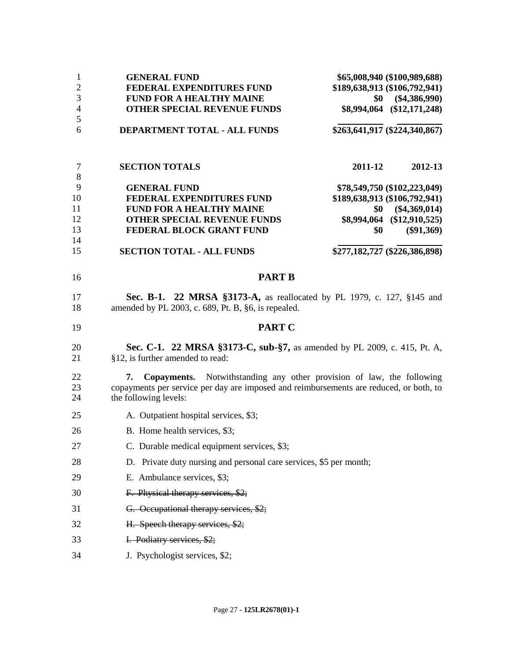| $\mathbf{1}$   | <b>GENERAL FUND</b>                                                                                                                                                                                   |         | \$65,008,940 (\$100,989,688)  |
|----------------|-------------------------------------------------------------------------------------------------------------------------------------------------------------------------------------------------------|---------|-------------------------------|
| $\overline{2}$ | FEDERAL EXPENDITURES FUND                                                                                                                                                                             |         | \$189,638,913 (\$106,792,941) |
| 3              | <b>FUND FOR A HEALTHY MAINE</b>                                                                                                                                                                       | \$0     | $(\$4,386,990)$               |
| $\overline{4}$ | OTHER SPECIAL REVENUE FUNDS                                                                                                                                                                           |         | \$8,994,064 (\$12,171,248)    |
| 5<br>6         | DEPARTMENT TOTAL - ALL FUNDS                                                                                                                                                                          |         | \$263,641,917 (\$224,340,867) |
| 7              | <b>SECTION TOTALS</b>                                                                                                                                                                                 | 2011-12 | 2012-13                       |
| 8              |                                                                                                                                                                                                       |         |                               |
| 9              | <b>GENERAL FUND</b>                                                                                                                                                                                   |         | \$78,549,750 (\$102,223,049)  |
| 10             | FEDERAL EXPENDITURES FUND                                                                                                                                                                             |         | \$189,638,913 (\$106,792,941) |
| 11             | <b>FUND FOR A HEALTHY MAINE</b>                                                                                                                                                                       | \$0     | $(\$4,369,014)$               |
| 12             | <b>OTHER SPECIAL REVENUE FUNDS</b>                                                                                                                                                                    |         | \$8,994,064 (\$12,910,525)    |
| 13             | FEDERAL BLOCK GRANT FUND                                                                                                                                                                              | \$0     | $(\$91,369)$                  |
| 14             |                                                                                                                                                                                                       |         |                               |
| 15             | <b>SECTION TOTAL - ALL FUNDS</b>                                                                                                                                                                      |         | \$277,182,727 (\$226,386,898) |
| 16             | <b>PART B</b>                                                                                                                                                                                         |         |                               |
| 17             | <b>Sec. B-1. 22 MRSA §3173-A, as reallocated by PL 1979, c. 127, §145 and</b>                                                                                                                         |         |                               |
| 18             | amended by PL 2003, c. 689, Pt. B, §6, is repealed.                                                                                                                                                   |         |                               |
| 19             | <b>PART C</b>                                                                                                                                                                                         |         |                               |
| 20<br>21       | Sec. C-1. 22 MRSA §3173-C, sub-§7, as amended by PL 2009, c. 415, Pt. A,<br>§12, is further amended to read:                                                                                          |         |                               |
| 22<br>23<br>24 | <b>Copayments.</b> Notwithstanding any other provision of law, the following<br>7.<br>copayments per service per day are imposed and reimbursements are reduced, or both, to<br>the following levels: |         |                               |
| 25             | A. Outpatient hospital services, \$3;                                                                                                                                                                 |         |                               |
| 26             | B. Home health services, \$3;                                                                                                                                                                         |         |                               |
| 27             | C. Durable medical equipment services, \$3;                                                                                                                                                           |         |                               |
| 28             | D. Private duty nursing and personal care services, \$5 per month;                                                                                                                                    |         |                               |
| 29             | E. Ambulance services, \$3;                                                                                                                                                                           |         |                               |
| 30             | F. Physical therapy services, \$2;                                                                                                                                                                    |         |                               |
| 31             | G. Occupational therapy services, \$2;                                                                                                                                                                |         |                               |
| 32             | H. Speech therapy services, \$2;                                                                                                                                                                      |         |                               |
| 33             | I. Podiatry services, \$2;                                                                                                                                                                            |         |                               |
| 34             | J. Psychologist services, \$2;                                                                                                                                                                        |         |                               |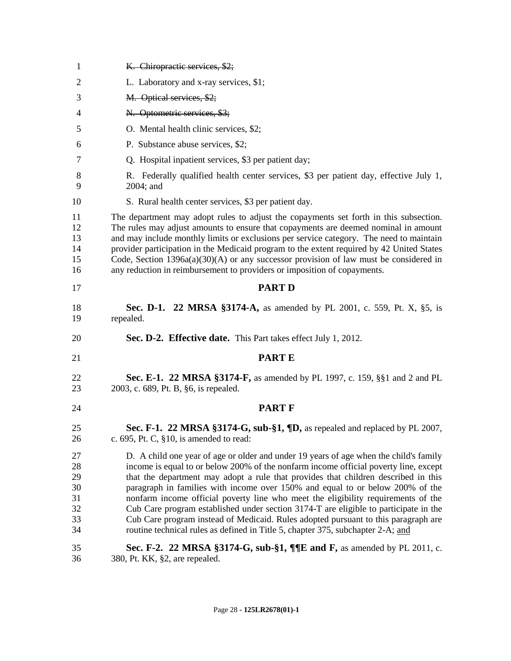| $\mathbf{1}$                                 | K. Chiropractic services, \$2;                                                                                                                                                                                                                                                                                                                                                                                                                                                                                                                                                                                                                                                                             |
|----------------------------------------------|------------------------------------------------------------------------------------------------------------------------------------------------------------------------------------------------------------------------------------------------------------------------------------------------------------------------------------------------------------------------------------------------------------------------------------------------------------------------------------------------------------------------------------------------------------------------------------------------------------------------------------------------------------------------------------------------------------|
| 2                                            | L. Laboratory and x-ray services, \$1;                                                                                                                                                                                                                                                                                                                                                                                                                                                                                                                                                                                                                                                                     |
| 3                                            | M. Optical services, \$2;                                                                                                                                                                                                                                                                                                                                                                                                                                                                                                                                                                                                                                                                                  |
| 4                                            | N. Optometric services, \$3;                                                                                                                                                                                                                                                                                                                                                                                                                                                                                                                                                                                                                                                                               |
| 5                                            | O. Mental health clinic services, \$2;                                                                                                                                                                                                                                                                                                                                                                                                                                                                                                                                                                                                                                                                     |
| 6                                            | P. Substance abuse services, \$2;                                                                                                                                                                                                                                                                                                                                                                                                                                                                                                                                                                                                                                                                          |
| 7                                            | Q. Hospital inpatient services, \$3 per patient day;                                                                                                                                                                                                                                                                                                                                                                                                                                                                                                                                                                                                                                                       |
| 8<br>9                                       | R. Federally qualified health center services, \$3 per patient day, effective July 1,<br>2004; and                                                                                                                                                                                                                                                                                                                                                                                                                                                                                                                                                                                                         |
| 10                                           | S. Rural health center services, \$3 per patient day.                                                                                                                                                                                                                                                                                                                                                                                                                                                                                                                                                                                                                                                      |
| 11<br>12<br>13<br>14<br>15<br>16             | The department may adopt rules to adjust the copayments set forth in this subsection.<br>The rules may adjust amounts to ensure that copayments are deemed nominal in amount<br>and may include monthly limits or exclusions per service category. The need to maintain<br>provider participation in the Medicaid program to the extent required by 42 United States<br>Code, Section $1396a(a)(30)(A)$ or any successor provision of law must be considered in<br>any reduction in reimbursement to providers or imposition of copayments.                                                                                                                                                                |
| 17                                           | <b>PART D</b>                                                                                                                                                                                                                                                                                                                                                                                                                                                                                                                                                                                                                                                                                              |
| 18<br>19                                     | Sec. D-1. 22 MRSA §3174-A, as amended by PL 2001, c. 559, Pt. X, §5, is<br>repealed.                                                                                                                                                                                                                                                                                                                                                                                                                                                                                                                                                                                                                       |
| 20                                           | Sec. D-2. Effective date. This Part takes effect July 1, 2012.                                                                                                                                                                                                                                                                                                                                                                                                                                                                                                                                                                                                                                             |
| 21                                           | <b>PARTE</b>                                                                                                                                                                                                                                                                                                                                                                                                                                                                                                                                                                                                                                                                                               |
| 22<br>23                                     | Sec. E-1. 22 MRSA §3174-F, as amended by PL 1997, c. 159, §§1 and 2 and PL<br>2003, c. 689, Pt. B, §6, is repealed.                                                                                                                                                                                                                                                                                                                                                                                                                                                                                                                                                                                        |
| 24                                           | <b>PART F</b>                                                                                                                                                                                                                                                                                                                                                                                                                                                                                                                                                                                                                                                                                              |
| 25<br>26                                     | Sec. F-1. 22 MRSA $\S 3174-G$ , sub- $\S 1$ , $\P D$ , as repealed and replaced by PL 2007,<br>c. 695, Pt. C, $§10$ , is amended to read:                                                                                                                                                                                                                                                                                                                                                                                                                                                                                                                                                                  |
| 27<br>28<br>29<br>30<br>31<br>32<br>33<br>34 | D. A child one year of age or older and under 19 years of age when the child's family<br>income is equal to or below 200% of the nonfarm income official poverty line, except<br>that the department may adopt a rule that provides that children described in this<br>paragraph in families with income over 150% and equal to or below 200% of the<br>nonfarm income official poverty line who meet the eligibility requirements of the<br>Cub Care program established under section 3174-T are eligible to participate in the<br>Cub Care program instead of Medicaid. Rules adopted pursuant to this paragraph are<br>routine technical rules as defined in Title 5, chapter 375, subchapter 2-A; and |
| 35<br>36                                     | Sec. F-2. 22 MRSA §3174-G, sub-§1, ¶¶E and F, as amended by PL 2011, c.<br>380, Pt. KK, §2, are repealed.                                                                                                                                                                                                                                                                                                                                                                                                                                                                                                                                                                                                  |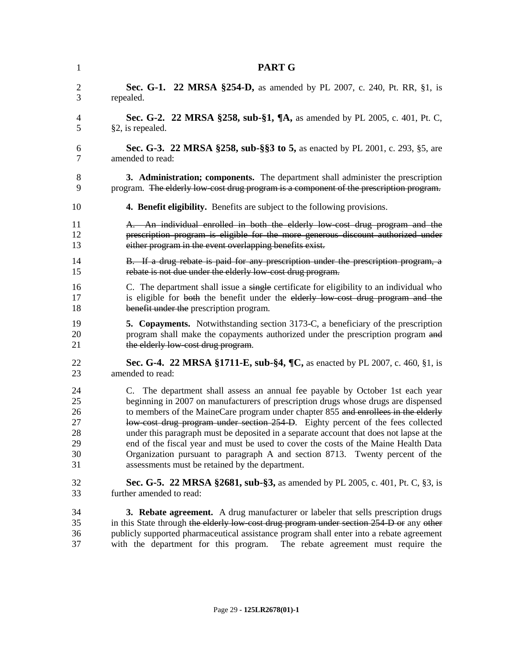| $\mathbf{1}$         | PART G                                                                                                                                                                                                                                                                                                                                                             |
|----------------------|--------------------------------------------------------------------------------------------------------------------------------------------------------------------------------------------------------------------------------------------------------------------------------------------------------------------------------------------------------------------|
| $\overline{2}$       | Sec. G-1. 22 MRSA §254-D, as amended by PL 2007, c. 240, Pt. RR, §1, is                                                                                                                                                                                                                                                                                            |
| 3                    | repealed.                                                                                                                                                                                                                                                                                                                                                          |
| $\overline{4}$       | <b>Sec. G-2. 22 MRSA §258, sub-§1, <math>\P</math>A</b> , as amended by PL 2005, c. 401, Pt. C,                                                                                                                                                                                                                                                                    |
| 5                    | §2, is repealed.                                                                                                                                                                                                                                                                                                                                                   |
| 6                    | <b>Sec. G-3. 22 MRSA §258, sub-§§3 to 5, as enacted by PL 2001, c. 293, §5, are</b>                                                                                                                                                                                                                                                                                |
| 7                    | amended to read:                                                                                                                                                                                                                                                                                                                                                   |
| 8                    | 3. Administration; components. The department shall administer the prescription                                                                                                                                                                                                                                                                                    |
| 9                    | program. The elderly low-cost drug program is a component of the prescription program.                                                                                                                                                                                                                                                                             |
| 10                   | <b>4. Benefit eligibility.</b> Benefits are subject to the following provisions.                                                                                                                                                                                                                                                                                   |
| 11                   | A. An individual enrolled in both the elderly low cost drug program and the                                                                                                                                                                                                                                                                                        |
| 12                   | prescription program is eligible for the more generous discount authorized under                                                                                                                                                                                                                                                                                   |
| 13                   | either program in the event overlapping benefits exist.                                                                                                                                                                                                                                                                                                            |
| 14                   | B. If a drug rebate is paid for any prescription under the prescription program, a                                                                                                                                                                                                                                                                                 |
| 15                   | rebate is not due under the elderly low-cost drug program.                                                                                                                                                                                                                                                                                                         |
| 16                   | C. The department shall issue a single certificate for eligibility to an individual who                                                                                                                                                                                                                                                                            |
| 17                   | is eligible for both the benefit under the elderly low-cost drug program and the                                                                                                                                                                                                                                                                                   |
| 18                   | benefit under the prescription program.                                                                                                                                                                                                                                                                                                                            |
| 19                   | <b>5. Copayments.</b> Notwithstanding section 3173-C, a beneficiary of the prescription                                                                                                                                                                                                                                                                            |
| 20                   | program shall make the copayments authorized under the prescription program and                                                                                                                                                                                                                                                                                    |
| 21                   | the elderly low-cost drug program.                                                                                                                                                                                                                                                                                                                                 |
| 22                   | <b>Sec. G-4. 22 MRSA §1711-E, sub-§4, <math>\P</math>C, as enacted by PL 2007, c. 460, §1, is</b>                                                                                                                                                                                                                                                                  |
| 23                   | amended to read:                                                                                                                                                                                                                                                                                                                                                   |
| 24                   | C. The department shall assess an annual fee payable by October 1st each year                                                                                                                                                                                                                                                                                      |
| 25                   | beginning in 2007 on manufacturers of prescription drugs whose drugs are dispensed                                                                                                                                                                                                                                                                                 |
| 26                   | to members of the MaineCare program under chapter 855 and enrollees in the elderly                                                                                                                                                                                                                                                                                 |
| 27                   | low-cost drug program under section 254-D. Eighty percent of the fees collected                                                                                                                                                                                                                                                                                    |
| 28                   | under this paragraph must be deposited in a separate account that does not lapse at the                                                                                                                                                                                                                                                                            |
| 29                   | end of the fiscal year and must be used to cover the costs of the Maine Health Data                                                                                                                                                                                                                                                                                |
| 30                   | Organization pursuant to paragraph A and section 8713. Twenty percent of the                                                                                                                                                                                                                                                                                       |
| 31                   | assessments must be retained by the department.                                                                                                                                                                                                                                                                                                                    |
| 32                   | Sec. G-5. 22 MRSA §2681, sub-§3, as amended by PL 2005, c. 401, Pt. C, §3, is                                                                                                                                                                                                                                                                                      |
| 33                   | further amended to read:                                                                                                                                                                                                                                                                                                                                           |
| 34<br>35<br>36<br>37 | <b>3. Rebate agreement.</b> A drug manufacturer or labeler that sells prescription drugs<br>in this State through the elderly low-cost drug program under section 254-D or any other<br>publicly supported pharmaceutical assistance program shall enter into a rebate agreement<br>with the department for this program.<br>The rebate agreement must require the |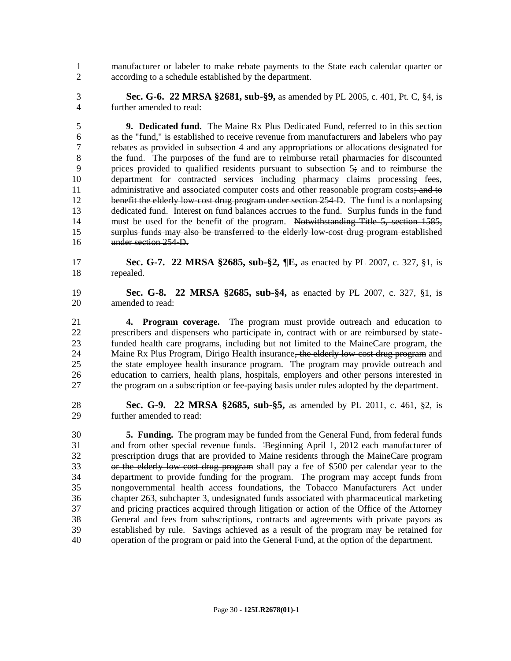manufacturer or labeler to make rebate payments to the State each calendar quarter or according to a schedule established by the department.

 **Sec. G-6. 22 MRSA §2681, sub-§9,** as amended by PL 2005, c. 401, Pt. C, §4, is further amended to read:

 **9. Dedicated fund.** The Maine Rx Plus Dedicated Fund, referred to in this section as the "fund," is established to receive revenue from manufacturers and labelers who pay rebates as provided in subsection 4 and any appropriations or allocations designated for the fund. The purposes of the fund are to reimburse retail pharmacies for discounted 9 prices provided to qualified residents pursuant to subsection 5; and to reimburse the department for contracted services including pharmacy claims processing fees, 11 administrative and associated computer costs and other reasonable program costs; and to 12 benefit the elderly low-cost drug program under section 254-D. The fund is a nonlapsing dedicated fund. Interest on fund balances accrues to the fund. Surplus funds in the fund must be used for the benefit of the program. Notwithstanding Title 5, section 1585, surplus funds may also be transferred to the elderly low-cost drug program established under section 254-D.

 **Sec. G-7. 22 MRSA §2685, sub-§2, ¶E,** as enacted by PL 2007, c. 327, §1, is repealed.

 **Sec. G-8. 22 MRSA §2685, sub-§4,** as enacted by PL 2007, c. 327, §1, is amended to read:

 **4. Program coverage.** The program must provide outreach and education to prescribers and dispensers who participate in, contract with or are reimbursed by state- funded health care programs, including but not limited to the MaineCare program, the 24 Maine Rx Plus Program, Dirigo Health insurance, the elderly low-cost drug program and the state employee health insurance program. The program may provide outreach and education to carriers, health plans, hospitals, employers and other persons interested in the program on a subscription or fee-paying basis under rules adopted by the department.

 **Sec. G-9. 22 MRSA §2685, sub-§5,** as amended by PL 2011, c. 461, §2, is further amended to read:

 **5. Funding.** The program may be funded from the General Fund, from federal funds and from other special revenue funds. 'Beginning April 1, 2012 each manufacturer of prescription drugs that are provided to Maine residents through the MaineCare program or the elderly low-cost drug program shall pay a fee of \$500 per calendar year to the department to provide funding for the program. The program may accept funds from nongovernmental health access foundations, the Tobacco Manufacturers Act under chapter 263, subchapter 3, undesignated funds associated with pharmaceutical marketing and pricing practices acquired through litigation or action of the Office of the Attorney General and fees from subscriptions, contracts and agreements with private payors as established by rule. Savings achieved as a result of the program may be retained for operation of the program or paid into the General Fund, at the option of the department.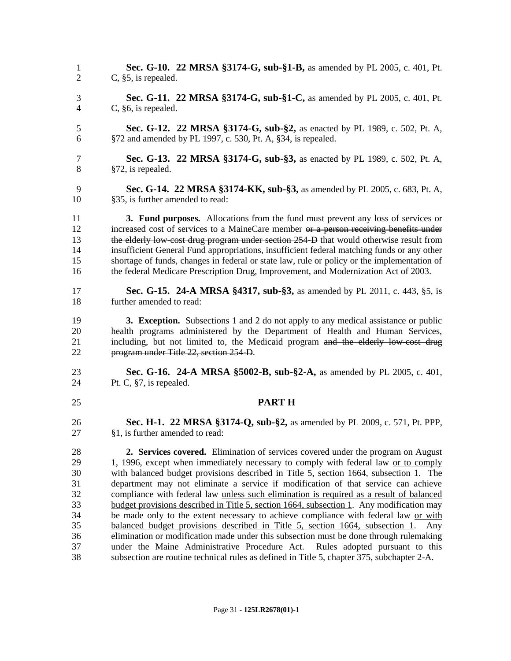**Sec. G-10. 22 MRSA §3174-G, sub-§1-B,** as amended by PL 2005, c. 401, Pt. C, §5, is repealed. **Sec. G-11. 22 MRSA §3174-G, sub-§1-C,** as amended by PL 2005, c. 401, Pt. C, §6, is repealed. **Sec. G-12. 22 MRSA §3174-G, sub-§2,** as enacted by PL 1989, c. 502, Pt. A, §72 and amended by PL 1997, c. 530, Pt. A, §34, is repealed. **Sec. G-13. 22 MRSA §3174-G, sub-§3,** as enacted by PL 1989, c. 502, Pt. A, §72, is repealed. **Sec. G-14. 22 MRSA §3174-KK, sub-§3,** as amended by PL 2005, c. 683, Pt. A, §35, is further amended to read: **3. Fund purposes.** Allocations from the fund must prevent any loss of services or 12 increased cost of services to a MaineCare member or a person receiving benefits under 13 the elderly low-cost drug program under section 254-D that would otherwise result from insufficient General Fund appropriations, insufficient federal matching funds or any other shortage of funds, changes in federal or state law, rule or policy or the implementation of the federal Medicare Prescription Drug, Improvement, and Modernization Act of 2003. **Sec. G-15. 24-A MRSA §4317, sub-§3,** as amended by PL 2011, c. 443, §5, is further amended to read: **3. Exception.** Subsections 1 and 2 do not apply to any medical assistance or public health programs administered by the Department of Health and Human Services, 21 including, but not limited to, the Medicaid program and the elderly low-cost drug program under Title 22, section 254-D. **Sec. G-16. 24-A MRSA §5002-B, sub-§2-A,** as amended by PL 2005, c. 401, Pt. C, §7, is repealed. **PART H Sec. H-1. 22 MRSA §3174-Q, sub-§2,** as amended by PL 2009, c. 571, Pt. PPP, §1, is further amended to read: **2. Services covered.** Elimination of services covered under the program on August 1, 1996, except when immediately necessary to comply with federal law or to comply with balanced budget provisions described in Title 5, section 1664, subsection 1. The department may not eliminate a service if modification of that service can achieve compliance with federal law unless such elimination is required as a result of balanced budget provisions described in Title 5, section 1664, subsection 1. Any modification may be made only to the extent necessary to achieve compliance with federal law or with balanced budget provisions described in Title 5, section 1664, subsection 1. Any elimination or modification made under this subsection must be done through rulemaking under the Maine Administrative Procedure Act. Rules adopted pursuant to this subsection are routine technical rules as defined in Title 5, chapter 375, subchapter 2-A.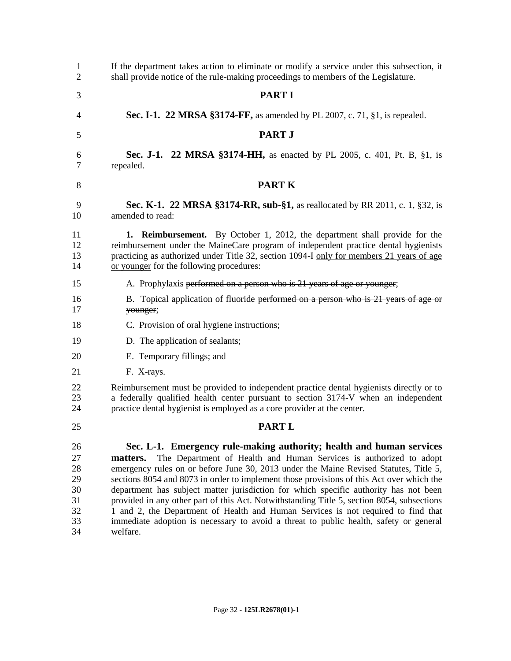| $\mathbf{1}$<br>$\overline{2}$                     | If the department takes action to eliminate or modify a service under this subsection, it<br>shall provide notice of the rule-making proceedings to members of the Legislature.                                                                                                                                                                                                                                                                                                                                                                                                                                                                                                                                             |
|----------------------------------------------------|-----------------------------------------------------------------------------------------------------------------------------------------------------------------------------------------------------------------------------------------------------------------------------------------------------------------------------------------------------------------------------------------------------------------------------------------------------------------------------------------------------------------------------------------------------------------------------------------------------------------------------------------------------------------------------------------------------------------------------|
| 3                                                  | <b>PART I</b>                                                                                                                                                                                                                                                                                                                                                                                                                                                                                                                                                                                                                                                                                                               |
| 4                                                  | Sec. I-1. 22 MRSA §3174-FF, as amended by PL 2007, c. 71, §1, is repealed.                                                                                                                                                                                                                                                                                                                                                                                                                                                                                                                                                                                                                                                  |
| 5                                                  | PART J                                                                                                                                                                                                                                                                                                                                                                                                                                                                                                                                                                                                                                                                                                                      |
| 6<br>7                                             | <b>Sec. J-1. 22 MRSA §3174-HH,</b> as enacted by PL 2005, c. 401, Pt. B, §1, is<br>repealed.                                                                                                                                                                                                                                                                                                                                                                                                                                                                                                                                                                                                                                |
| 8                                                  | <b>PARTK</b>                                                                                                                                                                                                                                                                                                                                                                                                                                                                                                                                                                                                                                                                                                                |
| 9<br>10                                            | <b>Sec. K-1. 22 MRSA §3174-RR, sub-§1,</b> as reallocated by RR 2011, c. 1, §32, is<br>amended to read:                                                                                                                                                                                                                                                                                                                                                                                                                                                                                                                                                                                                                     |
| 11<br>12<br>13<br>14                               | <b>1. Reimbursement.</b> By October 1, 2012, the department shall provide for the<br>reimbursement under the MaineCare program of independent practice dental hygienists<br>practicing as authorized under Title 32, section 1094-I only for members 21 years of age<br>or younger for the following procedures:                                                                                                                                                                                                                                                                                                                                                                                                            |
| 15                                                 | A. Prophylaxis performed on a person who is 21 years of age or younger;                                                                                                                                                                                                                                                                                                                                                                                                                                                                                                                                                                                                                                                     |
| 16<br>17                                           | B. Topical application of fluoride performed on a person who is 21 years of age or<br>younger;                                                                                                                                                                                                                                                                                                                                                                                                                                                                                                                                                                                                                              |
| 18                                                 | C. Provision of oral hygiene instructions;                                                                                                                                                                                                                                                                                                                                                                                                                                                                                                                                                                                                                                                                                  |
| 19                                                 | D. The application of sealants;                                                                                                                                                                                                                                                                                                                                                                                                                                                                                                                                                                                                                                                                                             |
| 20                                                 | E. Temporary fillings; and                                                                                                                                                                                                                                                                                                                                                                                                                                                                                                                                                                                                                                                                                                  |
| 21                                                 | F. X-rays.                                                                                                                                                                                                                                                                                                                                                                                                                                                                                                                                                                                                                                                                                                                  |
| 22<br>23<br>24                                     | Reimbursement must be provided to independent practice dental hygienists directly or to<br>a federally qualified health center pursuant to section 3174-V when an independent<br>practice dental hygienist is employed as a core provider at the center.                                                                                                                                                                                                                                                                                                                                                                                                                                                                    |
| 25                                                 | <b>PART L</b>                                                                                                                                                                                                                                                                                                                                                                                                                                                                                                                                                                                                                                                                                                               |
| 26<br>27<br>28<br>29<br>30<br>31<br>32<br>33<br>34 | Sec. L-1. Emergency rule-making authority; health and human services<br>The Department of Health and Human Services is authorized to adopt<br>matters.<br>emergency rules on or before June 30, 2013 under the Maine Revised Statutes, Title 5,<br>sections 8054 and 8073 in order to implement those provisions of this Act over which the<br>department has subject matter jurisdiction for which specific authority has not been<br>provided in any other part of this Act. Notwithstanding Title 5, section 8054, subsections<br>1 and 2, the Department of Health and Human Services is not required to find that<br>immediate adoption is necessary to avoid a threat to public health, safety or general<br>welfare. |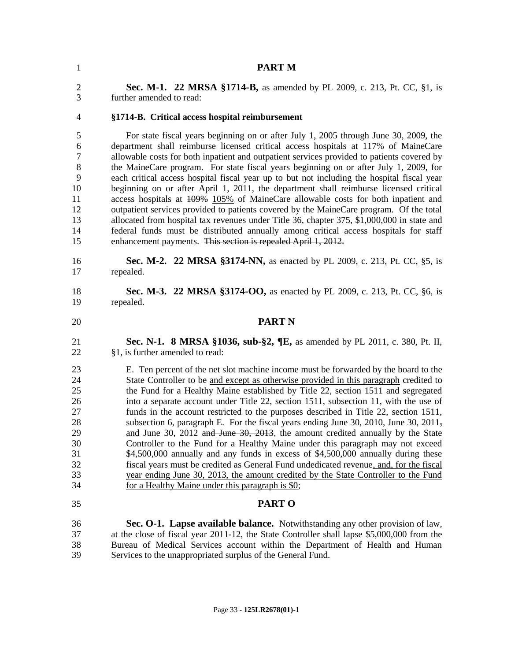| $\mathbf{1}$   | <b>PART M</b>                                                                              |
|----------------|--------------------------------------------------------------------------------------------|
| $\overline{2}$ | <b>Sec. M-1. 22 MRSA §1714-B,</b> as amended by PL 2009, c. 213, Pt. CC, §1, is            |
| 3              | further amended to read:                                                                   |
| 4              | §1714-B. Critical access hospital reimbursement                                            |
| 5              | For state fiscal years beginning on or after July 1, 2005 through June 30, 2009, the       |
| 6              | department shall reimburse licensed critical access hospitals at 117% of MaineCare         |
| 7              | allowable costs for both inpatient and outpatient services provided to patients covered by |
| 8              | the MaineCare program. For state fiscal years beginning on or after July 1, 2009, for      |
| 9              | each critical access hospital fiscal year up to but not including the hospital fiscal year |
| 10             | beginning on or after April 1, 2011, the department shall reimburse licensed critical      |
| 11             | access hospitals at 109% 105% of MaineCare allowable costs for both inpatient and          |
| 12             | outpatient services provided to patients covered by the MaineCare program. Of the total    |
| 13             | allocated from hospital tax revenues under Title 36, chapter 375, \$1,000,000 in state and |
| 14             | federal funds must be distributed annually among critical access hospitals for staff       |
| 15             | enhancement payments. This section is repealed April 1, 2012.                              |
| 16             | <b>Sec. M-2. 22 MRSA §3174-NN, as enacted by PL 2009, c. 213, Pt. CC, §5, is</b>           |
| 17             | repealed.                                                                                  |
| 18             | <b>Sec. M-3. 22 MRSA §3174-OO,</b> as enacted by PL 2009, c. 213, Pt. CC, §6, is           |
| 19             | repealed.                                                                                  |
| 20             | <b>PART N</b>                                                                              |
| 21             | Sec. N-1. 8 MRSA §1036, sub-§2, ¶E, as amended by PL 2011, c. 380, Pt. II,                 |
| 22             | §1, is further amended to read:                                                            |
| 23             | E. Ten percent of the net slot machine income must be forwarded by the board to the        |
| 24             | State Controller to be and except as otherwise provided in this paragraph credited to      |
| 25             | the Fund for a Healthy Maine established by Title 22, section 1511 and segregated          |
| 26             | into a separate account under Title 22, section 1511, subsection 11, with the use of       |
| 27             | funds in the account restricted to the purposes described in Title 22, section 1511,       |
| 28             | subsection 6, paragraph E. For the fiscal years ending June 30, 2010, June 30, 2011,       |
| 29             | and June 30, 2012 and June 30, 2013, the amount credited annually by the State             |
| 30             | Controller to the Fund for a Healthy Maine under this paragraph may not exceed             |
| 31             | \$4,500,000 annually and any funds in excess of \$4,500,000 annually during these          |
| 32             | fiscal years must be credited as General Fund undedicated revenue, and, for the fiscal     |
| 33             | year ending June 30, 2013, the amount credited by the State Controller to the Fund         |
| 34             | for a Healthy Maine under this paragraph is \$0;                                           |
| 35             | PART O                                                                                     |
| 36<br>37       | <b>Sec. O-1. Lapse available balance.</b> Notwithstanding any other provision of law,      |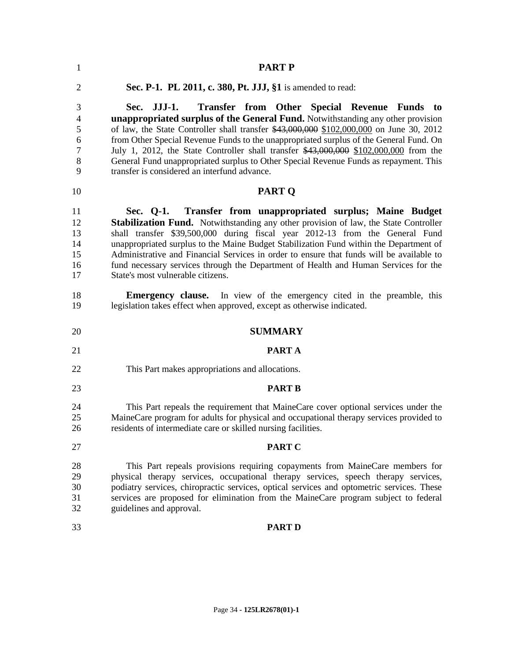| $\mathbf{1}$                                              | <b>PART P</b>                                                                                                                                                                                                                                                                                                                                                                                                                                                                                                                                                                     |
|-----------------------------------------------------------|-----------------------------------------------------------------------------------------------------------------------------------------------------------------------------------------------------------------------------------------------------------------------------------------------------------------------------------------------------------------------------------------------------------------------------------------------------------------------------------------------------------------------------------------------------------------------------------|
| $\overline{2}$                                            | Sec. P-1. PL 2011, c. 380, Pt. JJJ, §1 is amended to read:                                                                                                                                                                                                                                                                                                                                                                                                                                                                                                                        |
| 3<br>$\overline{4}$<br>5<br>6<br>$\overline{7}$<br>8<br>9 | Transfer from Other Special Revenue Funds to<br>$JJJ-1.$<br>Sec.<br><b>unappropriated surplus of the General Fund.</b> Notwithstanding any other provision<br>of law, the State Controller shall transfer \$43,000,000 \$102,000,000 on June 30, 2012<br>from Other Special Revenue Funds to the unappropriated surplus of the General Fund. On<br>July 1, 2012, the State Controller shall transfer \$43,000,000 \$102,000,000 from the<br>General Fund unappropriated surplus to Other Special Revenue Funds as repayment. This<br>transfer is considered an interfund advance. |
| 10                                                        | <b>PART Q</b>                                                                                                                                                                                                                                                                                                                                                                                                                                                                                                                                                                     |
| 11<br>12<br>13<br>14<br>15<br>16<br>17                    | Sec. Q-1. Transfer from unappropriated surplus; Maine Budget<br>Stabilization Fund. Notwithstanding any other provision of law, the State Controller<br>shall transfer \$39,500,000 during fiscal year 2012-13 from the General Fund<br>unappropriated surplus to the Maine Budget Stabilization Fund within the Department of<br>Administrative and Financial Services in order to ensure that funds will be available to<br>fund necessary services through the Department of Health and Human Services for the<br>State's most vulnerable citizens.                            |
| 18<br>19                                                  | <b>Emergency clause.</b> In view of the emergency cited in the preamble, this<br>legislation takes effect when approved, except as otherwise indicated.                                                                                                                                                                                                                                                                                                                                                                                                                           |
| 20                                                        | <b>SUMMARY</b>                                                                                                                                                                                                                                                                                                                                                                                                                                                                                                                                                                    |
| 21                                                        | <b>PARTA</b>                                                                                                                                                                                                                                                                                                                                                                                                                                                                                                                                                                      |
| 22                                                        | This Part makes appropriations and allocations.                                                                                                                                                                                                                                                                                                                                                                                                                                                                                                                                   |
| 23                                                        | <b>PART B</b>                                                                                                                                                                                                                                                                                                                                                                                                                                                                                                                                                                     |
| 24<br>25<br>26                                            | This Part repeals the requirement that MaineCare cover optional services under the<br>MaineCare program for adults for physical and occupational therapy services provided to<br>residents of intermediate care or skilled nursing facilities.                                                                                                                                                                                                                                                                                                                                    |
| 27                                                        | <b>PART C</b>                                                                                                                                                                                                                                                                                                                                                                                                                                                                                                                                                                     |
| 28<br>29<br>30<br>31<br>32                                | This Part repeals provisions requiring copayments from MaineCare members for<br>physical therapy services, occupational therapy services, speech therapy services,<br>podiatry services, chiropractic services, optical services and optometric services. These<br>services are proposed for elimination from the MaineCare program subject to federal<br>guidelines and approval.                                                                                                                                                                                                |
| 33                                                        | <b>PART D</b>                                                                                                                                                                                                                                                                                                                                                                                                                                                                                                                                                                     |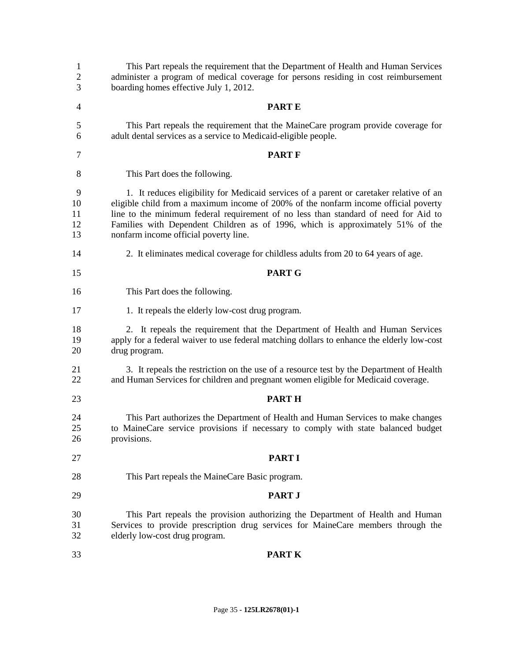| $\mathbf{1}$<br>$\mathbf{2}$<br>3 | This Part repeals the requirement that the Department of Health and Human Services<br>administer a program of medical coverage for persons residing in cost reimbursement<br>boarding homes effective July 1, 2012.                                                                                                                                                                              |
|-----------------------------------|--------------------------------------------------------------------------------------------------------------------------------------------------------------------------------------------------------------------------------------------------------------------------------------------------------------------------------------------------------------------------------------------------|
| $\overline{4}$                    | <b>PARTE</b>                                                                                                                                                                                                                                                                                                                                                                                     |
| 5<br>6                            | This Part repeals the requirement that the MaineCare program provide coverage for<br>adult dental services as a service to Medicaid-eligible people.                                                                                                                                                                                                                                             |
| 7                                 | <b>PART F</b>                                                                                                                                                                                                                                                                                                                                                                                    |
| 8                                 | This Part does the following.                                                                                                                                                                                                                                                                                                                                                                    |
| 9<br>10<br>11<br>12<br>13         | 1. It reduces eligibility for Medicaid services of a parent or caretaker relative of an<br>eligible child from a maximum income of 200% of the nonfarm income official poverty<br>line to the minimum federal requirement of no less than standard of need for Aid to<br>Families with Dependent Children as of 1996, which is approximately 51% of the<br>nonfarm income official poverty line. |
| 14                                | 2. It eliminates medical coverage for childless adults from 20 to 64 years of age.                                                                                                                                                                                                                                                                                                               |
| 15                                | <b>PART G</b>                                                                                                                                                                                                                                                                                                                                                                                    |
| 16                                | This Part does the following.                                                                                                                                                                                                                                                                                                                                                                    |
| 17                                | 1. It repeals the elderly low-cost drug program.                                                                                                                                                                                                                                                                                                                                                 |
| 18<br>19<br>20                    | 2. It repeals the requirement that the Department of Health and Human Services<br>apply for a federal waiver to use federal matching dollars to enhance the elderly low-cost<br>drug program.                                                                                                                                                                                                    |
| 21<br>22                          | 3. It repeals the restriction on the use of a resource test by the Department of Health<br>and Human Services for children and pregnant women eligible for Medicaid coverage.                                                                                                                                                                                                                    |
| 23                                | <b>PARTH</b>                                                                                                                                                                                                                                                                                                                                                                                     |
| 24<br>25<br>26                    | This Part authorizes the Department of Health and Human Services to make changes<br>to MaineCare service provisions if necessary to comply with state balanced budget<br>provisions.                                                                                                                                                                                                             |
| 27                                | <b>PART I</b>                                                                                                                                                                                                                                                                                                                                                                                    |
| 28                                | This Part repeals the MaineCare Basic program.                                                                                                                                                                                                                                                                                                                                                   |
| 29                                | <b>PART J</b>                                                                                                                                                                                                                                                                                                                                                                                    |
| 30<br>31<br>32                    | This Part repeals the provision authorizing the Department of Health and Human<br>Services to provide prescription drug services for MaineCare members through the<br>elderly low-cost drug program.                                                                                                                                                                                             |
| 33                                | <b>PARTK</b>                                                                                                                                                                                                                                                                                                                                                                                     |
|                                   |                                                                                                                                                                                                                                                                                                                                                                                                  |